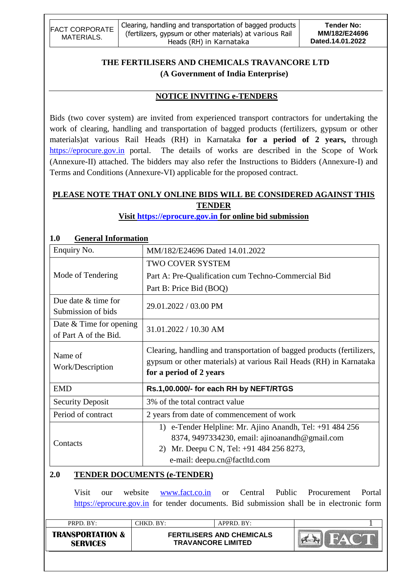| <b>FACT CORPORATE</b> | <sup>1</sup> Clearing, handling and transportation of bagged products | <b>Tender No:</b> |
|-----------------------|-----------------------------------------------------------------------|-------------------|
| MATERIALS.            | (fertilizers, gypsum or other materials) at various Rail              | MM/182/E24696     |
|                       | Heads (RH) in Karnataka                                               | Dated.14.01.2022  |

# **THE FERTILISERS AND CHEMICALS TRAVANCORE LTD (A Government of India Enterprise)**

## **NOTICE INVITING e-TENDERS**

Bids (two cover system) are invited from experienced transport contractors for undertaking the work of clearing, handling and transportation of bagged products (fertilizers, gypsum or other materials)at various Rail Heads (RH) in Karnataka **for a period of 2 years,** through [https://eprocure.gov.in](https://eprocure.gov.in/) portal. The details of works are described in the Scope of Work (Annexure-II) attached. The bidders may also refer the Instructions to Bidders (Annexure-I) and Terms and Conditions (Annexure-VI) applicable for the proposed contract.

# **PLEASE NOTE THAT ONLY ONLINE BIDS WILL BE CONSIDERED AGAINST THIS TENDER**

**Visit [https://eprocure.gov.in](https://eprocure.gov.in/) for online bid submission**

| 1.V<br>General Information                         |                                                                                                                                                                                           |
|----------------------------------------------------|-------------------------------------------------------------------------------------------------------------------------------------------------------------------------------------------|
| Enquiry No.                                        | MM/182/E24696 Dated 14.01.2022                                                                                                                                                            |
|                                                    | <b>TWO COVER SYSTEM</b>                                                                                                                                                                   |
| Mode of Tendering                                  | Part A: Pre-Qualification cum Techno-Commercial Bid                                                                                                                                       |
|                                                    | Part B: Price Bid (BOQ)                                                                                                                                                                   |
| Due date $&$ time for<br>Submission of bids        | 29.01.2022 / 03.00 PM                                                                                                                                                                     |
| Date $&$ Time for opening<br>of Part A of the Bid. | 31.01.2022 / 10.30 AM                                                                                                                                                                     |
| Name of<br>Work/Description                        | Clearing, handling and transportation of bagged products (fertilizers,<br>gypsum or other materials) at various Rail Heads (RH) in Karnataka<br>for a period of 2 years                   |
| <b>EMD</b>                                         | Rs.1,00.000/- for each RH by NEFT/RTGS                                                                                                                                                    |
| <b>Security Deposit</b>                            | 3% of the total contract value                                                                                                                                                            |
| Period of contract                                 | 2 years from date of commencement of work                                                                                                                                                 |
| Contacts                                           | 1) e-Tender Helpline: Mr. Ajino Anandh, Tel: +91 484 256<br>8374, 9497334230, email: ajinoanandh@gmail.com<br>Mr. Deepu C N, Tel: +91 484 256 8273,<br>2)<br>e-mail: deepu.cn@factltd.com |

# **1.0 General Information**

## **2.0 TENDER DOCUMENTS (e-TENDER)**

Visit our website [www.fact.co.in](http://www.fact.co.in/) or Central Public Procurement Portal [https://eprocure.gov.in](https://eprocure.gov.in/) for tender documents. Bid submission shall be in electronic form

|                                                |                           | $APPRD$ $BY:$                    |  |
|------------------------------------------------|---------------------------|----------------------------------|--|
| <b>TRANSPORTATION &amp;</b><br><b>SERVICES</b> | <b>TRAVANCORE LIMITED</b> | <b>FERTILISERS AND CHEMICALS</b> |  |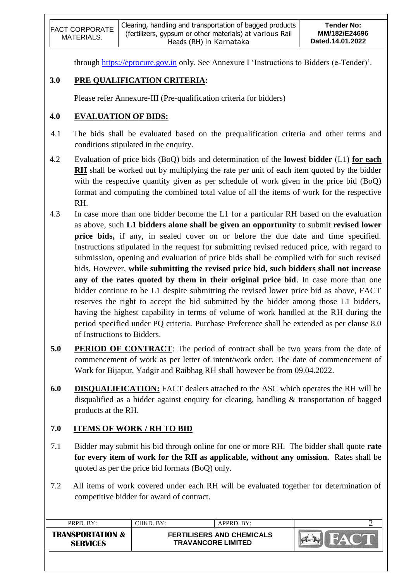| <b>FACT CORPORATE</b><br>MATERIALS. | ' Clearing, handling and transportation of bagged products  <br>(fertilizers, gypsum or other materials) at various Rail<br>Heads (RH) in Karnataka | Tender No:<br>MM/182/E24696<br>Dated.14.01.2022 |
|-------------------------------------|-----------------------------------------------------------------------------------------------------------------------------------------------------|-------------------------------------------------|
|                                     |                                                                                                                                                     |                                                 |

through [https://eprocure.gov.in](https://eprocure.gov.in/) only. See Annexure I 'Instructions to Bidders (e-Tender)'.

# **3.0 PRE QUALIFICATION CRITERIA:**

Please refer Annexure-III (Pre-qualification criteria for bidders)

# **4.0 EVALUATION OF BIDS:**

- 4.1 The bids shall be evaluated based on the prequalification criteria and other terms and conditions stipulated in the enquiry.
- 4.2 Evaluation of price bids (BoQ) bids and determination of the **lowest bidder** (L1) **for each RH** shall be worked out by multiplying the rate per unit of each item quoted by the bidder with the respective quantity given as per schedule of work given in the price bid (BoQ) format and computing the combined total value of all the items of work for the respective RH.
- 4.3 In case more than one bidder become the L1 for a particular RH based on the evaluation as above, such **L1 bidders alone shall be given an opportunity** to submit **revised lower price bids,** if any, in sealed cover on or before the due date and time specified. Instructions stipulated in the request for submitting revised reduced price, with regard to submission, opening and evaluation of price bids shall be complied with for such revised bids. However, **while submitting the revised price bid, such bidders shall not increase any of the rates quoted by them in their original price bid**. In case more than one bidder continue to be L1 despite submitting the revised lower price bid as above, FACT reserves the right to accept the bid submitted by the bidder among those L1 bidders, having the highest capability in terms of volume of work handled at the RH during the period specified under PQ criteria. Purchase Preference shall be extended as per clause 8.0 of Instructions to Bidders.
- **5.0 PERIOD OF CONTRACT**: The period of contract shall be two years from the date of commencement of work as per letter of intent/work order. The date of commencement of Work for Bijapur, Yadgir and Raibhag RH shall however be from 09.04.2022.
- **6.0 DISQUALIFICATION:** FACT dealers attached to the ASC which operates the RH will be disqualified as a bidder against enquiry for clearing, handling & transportation of bagged products at the RH.

# **7.0 ITEMS OF WORK / RH TO BID**

- 7.1 Bidder may submit his bid through online for one or more RH. The bidder shall quote **rate for every item of work for the RH as applicable, without any omission.** Rates shall be quoted as per the price bid formats (BoQ) only.
- 7.2 All items of work covered under each RH will be evaluated together for determination of competitive bidder for award of contract.

| PRPD. BY:                                      | CHKD. BY:                 | APPRD. BY:                       |  |
|------------------------------------------------|---------------------------|----------------------------------|--|
| <b>TRANSPORTATION &amp;</b><br><b>SERVICES</b> | <b>TRAVANCORE LIMITED</b> | <b>FERTILISERS AND CHEMICALS</b> |  |
|                                                |                           |                                  |  |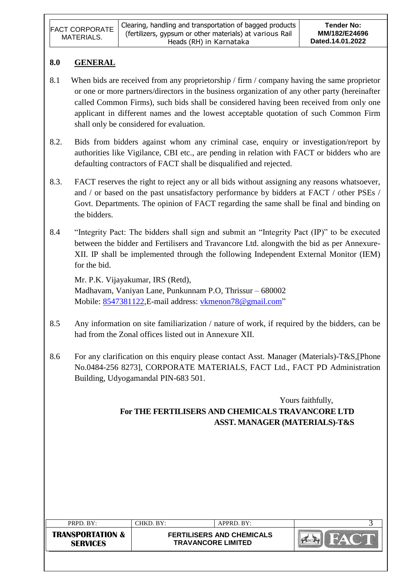| <b>FACT CORPORATE</b><br>MATERIALS. | Clearing, handling and transportation of bagged products<br>(fertilizers, gypsum or other materials) at various Rail | Tender No:<br>MM/182/E24696 |
|-------------------------------------|----------------------------------------------------------------------------------------------------------------------|-----------------------------|
|                                     | Heads (RH) in Karnataka                                                                                              | Dated.14.01.2022            |

## **8.0 GENERAL**

- 8.1 When bids are received from any proprietorship / firm / company having the same proprietor or one or more partners/directors in the business organization of any other party (hereinafter called Common Firms), such bids shall be considered having been received from only one applicant in different names and the lowest acceptable quotation of such Common Firm shall only be considered for evaluation.
- 8.2. Bids from bidders against whom any criminal case, enquiry or investigation/report by authorities like Vigilance, CBI etc., are pending in relation with FACT or bidders who are defaulting contractors of FACT shall be disqualified and rejected.
- 8.3. FACT reserves the right to reject any or all bids without assigning any reasons whatsoever, and / or based on the past unsatisfactory performance by bidders at FACT / other PSEs / Govt. Departments. The opinion of FACT regarding the same shall be final and binding on the bidders.
- 8.4 "Integrity Pact: The bidders shall sign and submit an "Integrity Pact (IP)" to be executed between the bidder and Fertilisers and Travancore Ltd. alongwith the bid as per Annexure-XII. IP shall be implemented through the following Independent External Monitor (IEM) for the bid.

Mr. P.K. Vijayakumar, IRS (Retd), Madhavam, Vaniyan Lane, Punkunnam P.O, Thrissur – 680002 Mobile: [8547381122,](callto:8547381122) E-mail address: [vkmenon78@gmail.com"](mailto:vkmenon78@gmail.com)

- 8.5 Any information on site familiarization / nature of work, if required by the bidders, can be had from the Zonal offices listed out in Annexure XII.
- 8.6 For any clarification on this enquiry please contact Asst. Manager (Materials)-T&S,[Phone No.0484-256 8273], CORPORATE MATERIALS, FACT Ltd., FACT PD Administration Building, Udyogamandal PIN-683 501.

Yours faithfully, **For THE FERTILISERS AND CHEMICALS TRAVANCORE LTD ASST. MANAGER (MATERIALS)-T&S**

| PRPD. BY:                                      | CHKD. BY:                                                     | APPRD. BY: |  |
|------------------------------------------------|---------------------------------------------------------------|------------|--|
| <b>TRANSPORTATION &amp;</b><br><b>SERVICES</b> | <b>FERTILISERS AND CHEMICALS</b><br><b>TRAVANCORE LIMITED</b> |            |  |
|                                                |                                                               |            |  |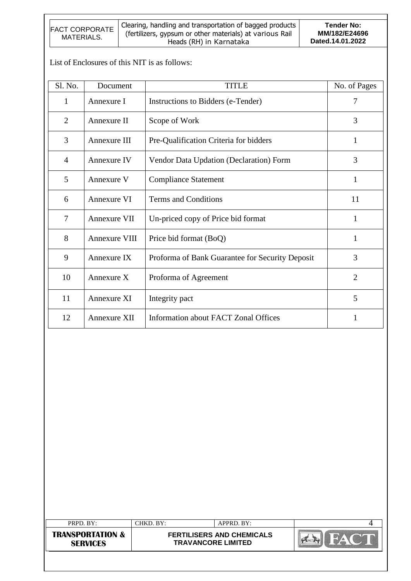| <b>FACT CORPORATE</b><br>MATERIALS. | Clearing, handling and transportation of bagged products<br>(fertilizers, gypsum or other materials) at various Rail<br>Heads (RH) in Karnataka | Tender No:<br>MM/182/E24696<br>Dated.14.01.2022 |
|-------------------------------------|-------------------------------------------------------------------------------------------------------------------------------------------------|-------------------------------------------------|
|-------------------------------------|-------------------------------------------------------------------------------------------------------------------------------------------------|-------------------------------------------------|

List of Enclosures of this NIT is as follows:

| Sl. No.        | Document      | <b>TITLE</b>                                    | No. of Pages   |
|----------------|---------------|-------------------------------------------------|----------------|
| $\mathbf{1}$   | Annexure I    | Instructions to Bidders (e-Tender)              | 7              |
| $\overline{2}$ | Annexure II   | Scope of Work                                   | 3              |
| 3              | Annexure III  | Pre-Qualification Criteria for bidders          | 1              |
| $\overline{4}$ | Annexure IV   | Vendor Data Updation (Declaration) Form         | 3              |
| 5              | Annexure V    | <b>Compliance Statement</b>                     | 1              |
| 6              | Annexure VI   | <b>Terms and Conditions</b>                     | 11             |
| 7              | Annexure VII  | Un-priced copy of Price bid format              | $\mathbf{1}$   |
| 8              | Annexure VIII | Price bid format (BoQ)                          | 1              |
| 9              | Annexure IX   | Proforma of Bank Guarantee for Security Deposit | 3              |
| 10             | Annexure X    | Proforma of Agreement                           | $\overline{2}$ |
| 11             | Annexure XI   | Integrity pact                                  | 5              |
| 12             | Annexure XII  | <b>Information about FACT Zonal Offices</b>     | 1              |

| PRPD. BY:                                      | CHKD. BY: | APPRD. BY:                                                    |  |
|------------------------------------------------|-----------|---------------------------------------------------------------|--|
| <b>TRANSPORTATION &amp;</b><br><b>SERVICES</b> |           | <b>FERTILISERS AND CHEMICALS</b><br><b>TRAVANCORE LIMITED</b> |  |
|                                                |           |                                                               |  |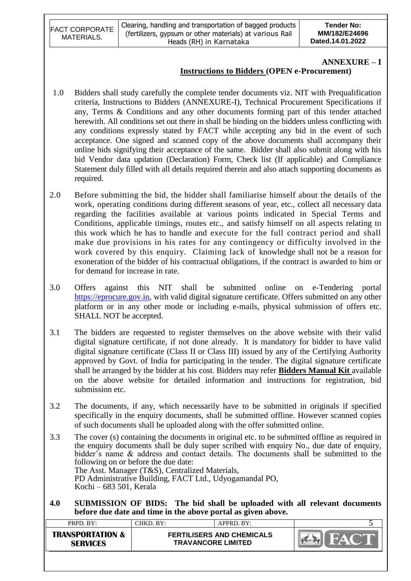| <b>FACT CORPORATE</b> | Clearing, handling and transportation of bagged products | <b>Tender No:</b> |
|-----------------------|----------------------------------------------------------|-------------------|
| MATERIALS.            | (fertilizers, gypsum or other materials) at various Rail | MM/182/E24696     |
|                       | Heads (RH) in Karnataka                                  |                   |

#### **ANNEXURE – I**

#### **Instructions to Bidders (OPEN e-Procurement)**

- 1.0 Bidders shall study carefully the complete tender documents viz. NIT with Prequalification criteria, Instructions to Bidders (ANNEXURE-I), Technical Procurement Specifications if any, Terms & Conditions and any other documents forming part of this tender attached herewith. All conditions set out there in shall be binding on the bidders unless conflicting with any conditions expressly stated by FACT while accepting any bid in the event of such acceptance. One signed and scanned copy of the above documents shall accompany their online bids signifying their acceptance of the same. Bidder shall also submit along with his bid Vendor data updation (Declaration) Form, Check list (If applicable) and Compliance Statement duly filled with all details required therein and also attach supporting documents as required.
- 2.0 Before submitting the bid, the bidder shall familiarise himself about the details of the work, operating conditions during different seasons of year, etc., collect all necessary data regarding the facilities available at various points indicated in Special Terms and Conditions, applicable timings, routes etc., and satisfy himself on all aspects relating to this work which he has to handle and execute for the full contract period and shall make due provisions in his rates for any contingency or difficulty involved in the work covered by this enquiry. Claiming lack of knowledge shall not be a reason for exoneration of the bidder of his contractual obligations, if the contract is awarded to him or for demand for increase in rate.
- 3.0 Offers against this NIT shall be submitted online on e-Tendering portal [https://eprocure.gov.in,](https://eprocure.gov.in/) with valid digital signature certificate. Offers submitted on any other platform or in any other mode or including e-mails, physical submission of offers etc. SHALL NOT be accepted.
- 3.1 The bidders are requested to register themselves on the above website with their valid digital signature certificate, if not done already. It is mandatory for bidder to have valid digital signature certificate (Class II or Class III) issued by any of the Certifying Authority approved by Govt. of India for participating in the tender. The digital signature certificate shall be arranged by the bidder at his cost. Bidders may refer **Bidders Manual Kit** available on the above website for detailed information and instructions for registration, bid submission etc.
- 3.2 The documents, if any, which necessarily have to be submitted in originals if specified specifically in the enquiry documents, shall be submitted offline. However scanned copies of such documents shall be uploaded along with the offer submitted online.
- 3.3 The cover (s) containing the documents in original etc. to be submitted offline as required in the enquiry documents shall be duly super scribed with enquiry No., due date of enquiry, bidder's name & address and contact details. The documents shall be submitted to the following on or before the due date: The Asst. Manager (T&S), Centralized Materials, PD Administrative Building, FACT Ltd., Udyogamandal PO, Kochi – 683 501, Kerala
- **4.0 SUBMISSION OF BIDS: The bid shall be uploaded with all relevant documents before due date and time in the above portal as given above.**

| PRPD. BY:                                      | CHKD. BY: | $APPRD$ . BY:                                                 |  |
|------------------------------------------------|-----------|---------------------------------------------------------------|--|
| <b>TRANSPORTATION &amp;</b><br><b>SFRVICFS</b> |           | <b>FERTILISERS AND CHEMICALS</b><br><b>TRAVANCORE LIMITED</b> |  |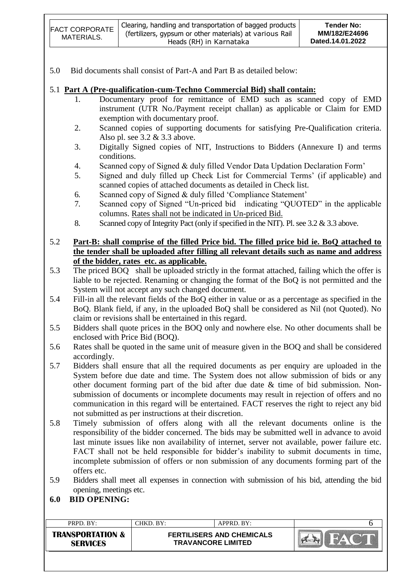| <b>FACT CORPORATE</b><br>MATERIALS. | Clearing, handling and transportation of bagged products  <br>(fertilizers, gypsum or other materials) at various Rail<br>Heads (RH) in Karnataka | Tender No:<br>MM/182/E24696<br>Dated.14.01.2022 |
|-------------------------------------|---------------------------------------------------------------------------------------------------------------------------------------------------|-------------------------------------------------|
|-------------------------------------|---------------------------------------------------------------------------------------------------------------------------------------------------|-------------------------------------------------|

5.0 Bid documents shall consist of Part-A and Part B as detailed below:

#### 5.1 **Part A (Pre-qualification-cum-Techno Commercial Bid) shall contain:**

- 1. Documentary proof for remittance of EMD such as scanned copy of EMD instrument (UTR No./Payment receipt challan) as applicable or Claim for EMD exemption with documentary proof.
- 2. Scanned copies of supporting documents for satisfying Pre-Qualification criteria. Also pl. see 3.2 & 3.3 above.
- 3. Digitally Signed copies of NIT, Instructions to Bidders (Annexure I) and terms conditions.
- 4. Scanned copy of Signed & duly filled Vendor Data Updation Declaration Form"
- 5. Signed and duly filled up Check List for Commercial Terms" (if applicable) and scanned copies of attached documents as detailed in Check list.
- 6. Scanned copy of Signed & duly filled "Compliance Statement"
- 7. Scanned copy of Signed "Un-priced bid indicating "QUOTED" in the applicable columns. Rates shall not be indicated in Un-priced Bid.
- 8. Scanned copy of Integrity Pact (only if specified in the NIT). Pl. see 3.2 & 3.3 above.
- 5.2 **Part-B: shall comprise of the filled Price bid. The filled price bid ie. BoQ attached to the tender shall be uploaded after filling all relevant details such as name and address of the bidder, rates etc. as applicable.**
- 5.3 The priced BOQ shall be uploaded strictly in the format attached, failing which the offer is liable to be rejected. Renaming or changing the format of the BoQ is not permitted and the System will not accept any such changed document.
- 5.4 Fill-in all the relevant fields of the BoQ either in value or as a percentage as specified in the BoQ. Blank field, if any, in the uploaded BoQ shall be considered as Nil (not Quoted). No claim or revisions shall be entertained in this regard.
- 5.5 Bidders shall quote prices in the BOQ only and nowhere else. No other documents shall be enclosed with Price Bid (BOQ).
- 5.6 Rates shall be quoted in the same unit of measure given in the BOQ and shall be considered accordingly.
- 5.7 Bidders shall ensure that all the required documents as per enquiry are uploaded in the System before due date and time. The System does not allow submission of bids or any other document forming part of the bid after due date & time of bid submission. Nonsubmission of documents or incomplete documents may result in rejection of offers and no communication in this regard will be entertained. FACT reserves the right to reject any bid not submitted as per instructions at their discretion.
- 5.8 Timely submission of offers along with all the relevant documents online is the responsibility of the bidder concerned. The bids may be submitted well in advance to avoid last minute issues like non availability of internet, server not available, power failure etc. FACT shall not be held responsible for bidder's inability to submit documents in time, incomplete submission of offers or non submission of any documents forming part of the offers etc.
- 5.9 Bidders shall meet all expenses in connection with submission of his bid, attending the bid opening, meetings etc.

#### **6.0 BID OPENING:**

| PRPD. BY:                                      | CHKD. BY:                 | APPRD. BY:                       |  |
|------------------------------------------------|---------------------------|----------------------------------|--|
| <b>TRANSPORTATION &amp;</b><br><b>SERVICES</b> | <b>TRAVANCORE LIMITED</b> | <b>FERTILISERS AND CHEMICALS</b> |  |
|                                                |                           |                                  |  |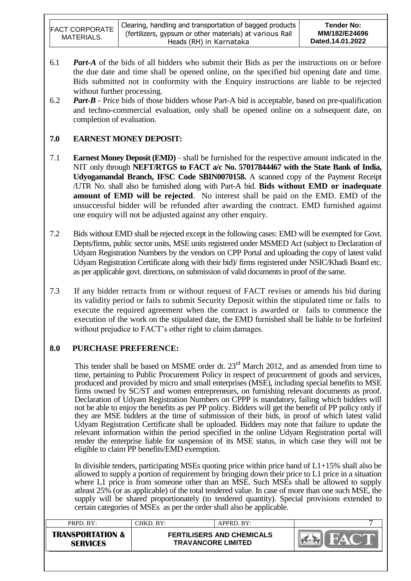| <b>FACT CORPORATE</b><br>MATERIALS. | Clearing, handling and transportation of bagged products<br>(fertilizers, gypsum or other materials) at various Rail<br>Heads (RH) in Karnataka | Tender No:<br>MM/182/E24696<br>Dated.14.01.2022 |
|-------------------------------------|-------------------------------------------------------------------------------------------------------------------------------------------------|-------------------------------------------------|
|-------------------------------------|-------------------------------------------------------------------------------------------------------------------------------------------------|-------------------------------------------------|

- 6.1 *Part-A* of the bids of all bidders who submit their Bids as per the instructions on or before the due date and time shall be opened online, on the specified bid opening date and time. Bids submitted not in conformity with the Enquiry instructions are liable to be rejected without further processing.
- 6.2 *Part-B* Price bids of those bidders whose Part-A bid is acceptable, based on pre-qualification and techno-commercial evaluation, only shall be opened online on a subsequent date, on completion of evaluation.

## **7.0 EARNEST MONEY DEPOSIT:**

- 7.1 **Earnest Money Deposit (EMD)** shall be furnished for the respective amount indicated in the NIT only through **NEFT/RTGS to FACT a/c No. 57017844467 with the State Bank of India, Udyogamandal Branch, IFSC Code SBIN0070158.** A scanned copy of the Payment Receipt /UTR No. shall also be furnished along with Part-A bid. **Bids without EMD or inadequate amount of EMD will be rejected**. No interest shall be paid on the EMD. EMD of the unsuccessful bidder will be refunded after awarding the contract. EMD furnished against one enquiry will not be adjusted against any other enquiry.
- 7.2 Bids without EMD shall be rejected except in the following cases: EMD will be exempted for Govt. Depts/firms, public sector units, MSE units registered under MSMED Act (subject to Declaration of Udyam Registration Numbers by the vendors on CPP Portal and uploading the copy of latest valid Udyam Registration Certificate along with their bid)/ firms registered under NSIC/Khadi Board etc. as per applicable govt. directions, on submission of valid documents in proof of the same.
- 7.3 If any bidder retracts from or without request of FACT revises or amends his bid during its validity period or fails to submit Security Deposit within the stipulated time or fails to execute the required agreement when the contract is awarded or fails to commence the execution of the work on the stipulated date, the EMD furnished shall be liable to be forfeited without prejudice to FACT's other right to claim damages.

## **8.0 PURCHASE PREFERENCE:**

This tender shall be based on MSME order dt. 23<sup>rd</sup> March 2012, and as amended from time to time, pertaining to Public Procurement Policy in respect of procurement of goods and services, produced and provided by micro and small enterprises (MSE), including special benefits to MSE firms owned by SC/ST and women entrepreneurs, on furnishing relevant documents as proof. Declaration of Udyam Registration Numbers on CPPP is mandatory, failing which bidders will not be able to enjoy the benefits as per PP policy. Bidders will get the benefit of PP policy only if they are MSE bidders at the time of submission of their bids, in proof of which latest valid Udyam Registration Certificate shall be uploaded. Bidders may note that failure to update the relevant information within the period specified in the online Udyam Registration portal will render the enterprise liable for suspension of its MSE status, in which case they will not be eligible to claim PP benefits/EMD exemption.

In divisible tenders, participating MSEs quoting price within price band of L1+15% shall also be allowed to supply a portion of requirement by bringing down their price to L1 price in a situation where L1 price is from someone other than an MSE. Such MSEs shall be allowed to supply atleast 25% (or as applicable) of the total tendered value. In case of more than one such MSE, the supply will be shared proportionately (to tendered quantity). Special provisions extended to certain categories of MSEs as per the order shall also be applicable.

| <b>TRANSPORTATION &amp;</b><br><b>FERTILISERS AND CHEMICALS</b><br><b>TRAVANCORE LIMITED</b><br><b>SERVICES</b> | PRPD. BY: | CHKD. BY: | $APPRD$ . $BY:$ |  |
|-----------------------------------------------------------------------------------------------------------------|-----------|-----------|-----------------|--|
|                                                                                                                 |           |           |                 |  |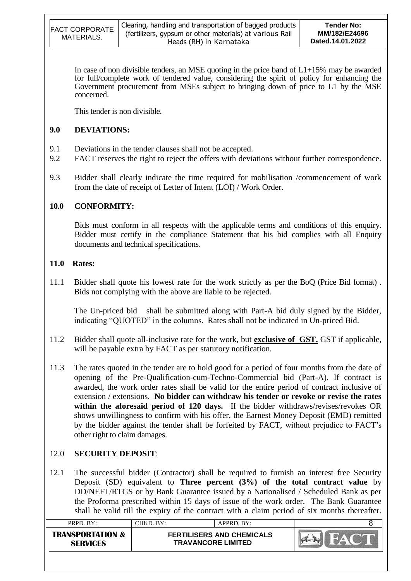| <b>FACT CORPORATE</b> | Clearing, handling and transportation of bagged products | Tender No:       |
|-----------------------|----------------------------------------------------------|------------------|
| MATERIALS.            | (fertilizers, gypsum or other materials) at various Rail | MM/182/E24696    |
|                       | Heads (RH) in Karnataka                                  | Dated.14.01.2022 |

In case of non divisible tenders, an MSE quoting in the price band of  $L1+15\%$  may be awarded for full/complete work of tendered value, considering the spirit of policy for enhancing the Government procurement from MSEs subject to bringing down of price to L1 by the MSE concerned.

This tender is non divisible.

## **9.0 DEVIATIONS:**

- 9.1 Deviations in the tender clauses shall not be accepted.
- 9.2 FACT reserves the right to reject the offers with deviations without further correspondence.
- 9.3 Bidder shall clearly indicate the time required for mobilisation /commencement of work from the date of receipt of Letter of Intent (LOI) / Work Order.

## **10.0 CONFORMITY:**

Bids must conform in all respects with the applicable terms and conditions of this enquiry. Bidder must certify in the compliance Statement that his bid complies with all Enquiry documents and technical specifications.

## **11.0 Rates:**

11.1 Bidder shall quote his lowest rate for the work strictly as per the BoQ (Price Bid format) . Bids not complying with the above are liable to be rejected.

The Un-priced bid shall be submitted along with Part-A bid duly signed by the Bidder, indicating "QUOTED" in the columns. Rates shall not be indicated in Un-priced Bid.

- 11.2 Bidder shall quote all-inclusive rate for the work, but **exclusive of GST.** GST if applicable, will be payable extra by FACT as per statutory notification.
- 11.3 The rates quoted in the tender are to hold good for a period of four months from the date of opening of the Pre-Qualification-cum-Techno-Commercial bid (Part-A). If contract is awarded, the work order rates shall be valid for the entire period of contract inclusive of extension / extensions. **No bidder can withdraw his tender or revoke or revise the rates within the aforesaid period of 120 days.** If the bidder withdraws/revises/revokes OR shows unwillingness to confirm with his offer, the Earnest Money Deposit (EMD) remitted by the bidder against the tender shall be forfeited by FACT, without prejudice to FACT"s other right to claim damages.

## 12.0 **SECURITY DEPOSIT**:

12.1 The successful bidder (Contractor) shall be required to furnish an interest free Security Deposit (SD) equivalent to **Three percent (3%) of the total contract value** by DD/NEFT/RTGS or by Bank Guarantee issued by a Nationalised / Scheduled Bank as per the Proforma prescribed within 15 days of issue of the work order. The Bank Guarantee shall be valid till the expiry of the contract with a claim period of six months thereafter.

| PRPD. BY:                                      | CHKD, BY: | $APPRD$ . BY:                                                 |  |
|------------------------------------------------|-----------|---------------------------------------------------------------|--|
| <b>TRANSPORTATION &amp;</b><br><b>SERVICES</b> |           | <b>FERTILISERS AND CHEMICALS</b><br><b>TRAVANCORE LIMITED</b> |  |
|                                                |           |                                                               |  |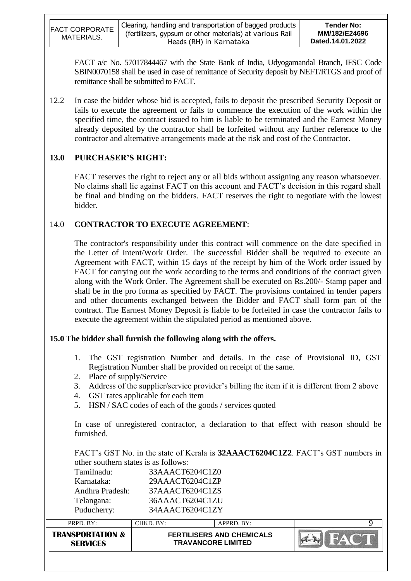| <b>FACT CORPORATE</b><br>MATERIALS. | Clearing, handling and transportation of bagged products<br>(fertilizers, gypsum or other materials) at various Rail<br>Heads (RH) in Karnataka | Tender No:<br>MM/182/E24696<br>Dated.14.01.2022 |
|-------------------------------------|-------------------------------------------------------------------------------------------------------------------------------------------------|-------------------------------------------------|
|-------------------------------------|-------------------------------------------------------------------------------------------------------------------------------------------------|-------------------------------------------------|

FACT a/c No. 57017844467 with the State Bank of India, Udyogamandal Branch, IFSC Code SBIN0070158 shall be used in case of remittance of Security deposit by NEFT/RTGS and proof of remittance shall be submitted to FACT.

12.2 In case the bidder whose bid is accepted, fails to deposit the prescribed Security Deposit or fails to execute the agreement or fails to commence the execution of the work within the specified time, the contract issued to him is liable to be terminated and the Earnest Money already deposited by the contractor shall be forfeited without any further reference to the contractor and alternative arrangements made at the risk and cost of the Contractor.

#### **13.0 PURCHASER'S RIGHT:**

FACT reserves the right to reject any or all bids without assigning any reason whatsoever. No claims shall lie against FACT on this account and FACT"s decision in this regard shall be final and binding on the bidders. FACT reserves the right to negotiate with the lowest bidder.

#### 14.0 **CONTRACTOR TO EXECUTE AGREEMENT**:

The contractor's responsibility under this contract will commence on the date specified in the Letter of Intent/Work Order. The successful Bidder shall be required to execute an Agreement with FACT, within 15 days of the receipt by him of the Work order issued by FACT for carrying out the work according to the terms and conditions of the contract given along with the Work Order. The Agreement shall be executed on Rs.200/- Stamp paper and shall be in the pro forma as specified by FACT. The provisions contained in tender papers and other documents exchanged between the Bidder and FACT shall form part of the contract. The Earnest Money Deposit is liable to be forfeited in case the contractor fails to execute the agreement within the stipulated period as mentioned above.

## **15.0 The bidder shall furnish the following along with the offers.**

- 1. The GST registration Number and details. In the case of Provisional ID, GST Registration Number shall be provided on receipt of the same.
- 2. Place of supply/Service
- 3. Address of the supplier/service provider's billing the item if it is different from 2 above
- 4. GST rates applicable for each item
- 5. HSN / SAC codes of each of the goods / services quoted

In case of unregistered contractor, a declaration to that effect with reason should be furnished.

FACT"s GST No. in the state of Kerala is **32AAACT6204C1Z2**. FACT"s GST numbers in other southern states is as follows:

| <b>TRANSPORTATION &amp;</b><br><b>SERVICES</b> | <b>FERTILISERS AND CHEMICALS</b><br><b>TRAVANCORE LIMITED</b> |            | FAC <sup>1</sup> |  |
|------------------------------------------------|---------------------------------------------------------------|------------|------------------|--|
| PRPD. BY:                                      | CHKD. BY:                                                     | APPRD. BY: | Q                |  |
| Puducherry:                                    | 34AAACT6204C1ZY                                               |            |                  |  |
| Telangana:                                     | 36AAACT6204C1ZU                                               |            |                  |  |
| Andhra Pradesh:                                | 37AAACT6204C1ZS                                               |            |                  |  |
| Karnataka:                                     | 29AAACT6204C1ZP                                               |            |                  |  |
| Tamilnadu:                                     | 33AAACT6204C1Z0                                               |            |                  |  |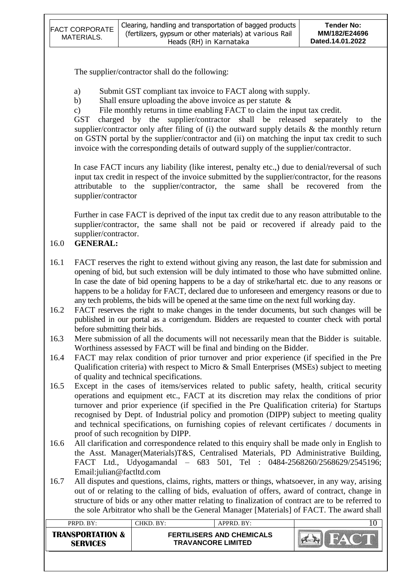| <b>FACT CORPORATE</b><br>MATERIALS. | Clearing, handling and transportation of bagged products<br>(fertilizers, gypsum or other materials) at various Rail | <b>Tender No:</b><br>MM/182/E24696<br>Dated.14.01.2022 |
|-------------------------------------|----------------------------------------------------------------------------------------------------------------------|--------------------------------------------------------|
|                                     | Heads (RH) in Karnataka                                                                                              |                                                        |

The supplier/contractor shall do the following:

- a) Submit GST compliant tax invoice to FACT along with supply.
- b) Shall ensure uploading the above invoice as per statute &
- c) File monthly returns in time enabling FACT to claim the input tax credit.

GST charged by the supplier/contractor shall be released separately to the supplier/contractor only after filing of (i) the outward supply details & the monthly return on GSTN portal by the supplier/contractor and (ii) on matching the input tax credit to such invoice with the corresponding details of outward supply of the supplier/contractor.

In case FACT incurs any liability (like interest, penalty etc.,) due to denial/reversal of such input tax credit in respect of the invoice submitted by the supplier/contractor, for the reasons attributable to the supplier/contractor, the same shall be recovered from the supplier/contractor

Further in case FACT is deprived of the input tax credit due to any reason attributable to the supplier/contractor, the same shall not be paid or recovered if already paid to the supplier/contractor.

## 16.0 **GENERAL:**

- 16.1 FACT reserves the right to extend without giving any reason, the last date for submission and opening of bid, but such extension will be duly intimated to those who have submitted online. In case the date of bid opening happens to be a day of strike/hartal etc. due to any reasons or happens to be a holiday for FACT, declared due to unforeseen and emergency reasons or due to any tech problems, the bids will be opened at the same time on the next full working day.
- 16.2 FACT reserves the right to make changes in the tender documents, but such changes will be published in our portal as a corrigendum. Bidders are requested to counter check with portal before submitting their bids.
- 16.3 Mere submission of all the documents will not necessarily mean that the Bidder is suitable. Worthiness assessed by FACT will be final and binding on the Bidder.
- 16.4 FACT may relax condition of prior turnover and prior experience (if specified in the Pre Qualification criteria) with respect to Micro & Small Enterprises (MSEs) subject to meeting of quality and technical specifications.
- 16.5 Except in the cases of items/services related to public safety, health, critical security operations and equipment etc., FACT at its discretion may relax the conditions of prior turnover and prior experience (if specified in the Pre Qualification criteria) for Startups recognised by Dept. of Industrial policy and promotion (DIPP) subject to meeting quality and technical specifications, on furnishing copies of relevant certificates / documents in proof of such recognition by DIPP.
- 16.6 All clarification and correspondence related to this enquiry shall be made only in English to the Asst. Manager(Materials)T&S, Centralised Materials, PD Administrative Building, FACT Ltd., Udyogamandal – 683 501, Tel : 0484-2568260/2568629/2545196; Email:julian@factltd.com
- 16.7 All disputes and questions, claims, rights, matters or things, whatsoever, in any way, arising out of or relating to the calling of bids, evaluation of offers, award of contract, change in structure of bids or any other matter relating to finalization of contract are to be referred to the sole Arbitrator who shall be the General Manager [Materials] of FACT. The award shall

| $PRPD$ . $BY:$                                 | CHKD. BY:                                                     | APPRD. BY: |  |
|------------------------------------------------|---------------------------------------------------------------|------------|--|
| <b>TRANSPORTATION &amp;</b><br><b>SFRVICFS</b> | <b>FERTILISERS AND CHEMICALS</b><br><b>TRAVANCORE LIMITED</b> |            |  |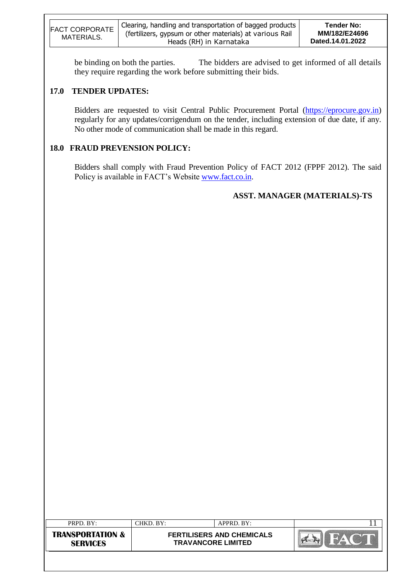| Clearing, handling and transportation of bagged products  <br>Tender No:<br><b>FACT CORPORATE</b><br>MM/182/E24696<br>(fertilizers, gypsum or other materials) at various Rail<br>MATERIALS.<br>Dated.14.01.2022<br>Heads (RH) in Karnataka |  |
|---------------------------------------------------------------------------------------------------------------------------------------------------------------------------------------------------------------------------------------------|--|
|---------------------------------------------------------------------------------------------------------------------------------------------------------------------------------------------------------------------------------------------|--|

be binding on both the parties. The bidders are advised to get informed of all details they require regarding the work before submitting their bids.

## **17.0 TENDER UPDATES:**

Bidders are requested to visit Central Public Procurement Portal [\(https://eprocure.gov.in\)](https://eprocure.gov.in/) regularly for any updates/corrigendum on the tender, including extension of due date, if any. No other mode of communication shall be made in this regard.

## **18.0 FRAUD PREVENSION POLICY:**

Bidders shall comply with Fraud Prevention Policy of FACT 2012 (FPPF 2012). The said Policy is available in FACT's Website [www.fact.co.in.](http://www.fact.co.in/)

# **ASST. MANAGER (MATERIALS)-TS**

| PRPD. BY:                                      | CHKD. BY:                                                     | APPRD. BY: |  |
|------------------------------------------------|---------------------------------------------------------------|------------|--|
| <b>TRANSPORTATION &amp;</b><br><b>SERVICES</b> | <b>FERTILISERS AND CHEMICALS</b><br><b>TRAVANCORE LIMITED</b> |            |  |
|                                                |                                                               |            |  |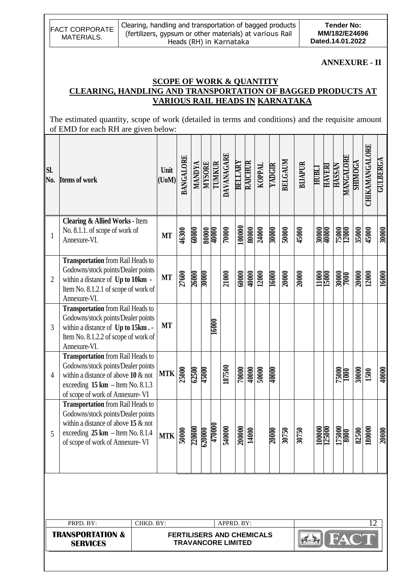|              | <b>FACT CORPORATE</b><br>MATERIALS.                                                                                                                                                                              | Clearing, handling and transportation of bagged products<br>(fertilizers, gypsum or other materials) at various Rail |                                                                | Heads (RH) in Karnataka                                       |               |                       |                         |                   |                           |       |                       |             |         |                                 | Dated.14.01.2022 |                | <b>Tender No:</b> |           | MM/182/E24696  |                      |                 |
|--------------|------------------------------------------------------------------------------------------------------------------------------------------------------------------------------------------------------------------|----------------------------------------------------------------------------------------------------------------------|----------------------------------------------------------------|---------------------------------------------------------------|---------------|-----------------------|-------------------------|-------------------|---------------------------|-------|-----------------------|-------------|---------|---------------------------------|------------------|----------------|-------------------|-----------|----------------|----------------------|-----------------|
|              | <b>CLEARING, HANDLING AND TRANSPORTATION OF BAGGED PRODUCTS AT</b><br>The estimated quantity, scope of work (detailed in terms and conditions) and the requisite amount<br>of EMD for each RH are given below:   |                                                                                                                      | <b>SCOPE OF WORK &amp; QUANTITY</b>                            |                                                               |               |                       |                         |                   |                           |       |                       |             |         | VARIOUS RAIL HEADS IN KARNATAKA |                  |                |                   |           |                | <b>ANNEXURE - II</b> |                 |
| Sl.<br>No.   | <b>Items of work</b>                                                                                                                                                                                             |                                                                                                                      | Unit<br>(UoM)                                                  | <b>BANGALORE</b>                                              | <b>MANDYA</b> |                       | <b>NISORE</b><br>TUMKUR | DAVANAGARE        | <b>BELLARY</b><br>RAICHUR |       | TVddOX                | YADGIR      | BELGAUM | <b>BIJAPUR</b>                  | HUBLI            | <b>HAVERI</b>  | <b>HASSAN</b>     | MANGALORI | <b>SHIMOGA</b> | CHIKAMANGALORE       | <b>GULBERGA</b> |
| $\mathbf{1}$ | <b>Clearing &amp; Allied Works - Item</b><br>No. 8.1.1. of scope of work of<br>Annexure-VI.                                                                                                                      |                                                                                                                      | <b>MT</b>                                                      | 46300                                                         | 00000         | <u>0000P</u><br>00008 |                         | $\frac{1}{10000}$ | 100000                    |       | $\frac{80000}{24000}$ | <b>MOOR</b> | 50000   | 45000                           |                  | 30000<br>40000 | 75000<br>12000    |           | 35000          | 45000                | 30000           |
| 2            | <b>Transportation</b> from Rail Heads to<br>Godowns/stock points/Dealer points<br>within a distance of Up to 10km -<br>Item No. 8.1.2.1 of scope of work of<br>Annexure-VI.                                      |                                                                                                                      | <b>MT</b>                                                      | 27600                                                         | <b>26000</b>  | 30000                 |                         | 21000             | 60000                     |       | $\frac{40000}{12000}$ | 16000       | 20000   | 20000                           |                  | 11000          | <b>20000</b>      |           | 20000          | 12000                | 16000           |
| 3            | <b>Transportation</b> from Rail Heads to<br>Godowns/stock points/Dealer points<br>within a distance of Up to 15km.<br>Item No. 8.1.2.2 of scope of work of<br>Annexure-VI.                                       |                                                                                                                      | <b>MT</b>                                                      |                                                               |               |                       | Θ<br>160                |                   |                           |       |                       |             |         |                                 |                  |                |                   |           |                |                      |                 |
| 4            | <b>Transportation</b> from Rail Heads to<br>Godowns/stock points/Dealer points<br>within a distance of above $10 \& \text{not}$<br>exceeding $15 \text{ km}$ - Item No. 8.1.3<br>of scope of work of Annexure-VI |                                                                                                                      | $MTK$ $\left  \begin{matrix} 2 \\ 5 \\ 5 \end{matrix} \right $ |                                                               | 62500         | 45000                 |                         | 187500            | 70000                     |       | $\frac{1000}{50000}$  | 40000       |         |                                 |                  |                | 75000<br>1000     |           | 30000          | <b>1500</b>          | 40000           |
| 5            | <b>Transportation</b> from Rail Heads to<br>Godowns/stock points/Dealer points<br>within a distance of above 15 $\&$ not<br>exceeding $25 \text{ km}$ - Item No. 8.1.4<br>of scope of work of Annexure-VI        |                                                                                                                      | MTK                                                            |                                                               | 220000        | 620000                | 470000                  | 540000            | 200000                    | 14000 |                       | 20000       | 30750   | 30750                           |                  | 100000         | 175000            |           |                | 82500<br>180000      | 20000           |
|              |                                                                                                                                                                                                                  |                                                                                                                      |                                                                |                                                               |               |                       |                         |                   |                           |       |                       |             |         |                                 |                  |                |                   |           |                |                      |                 |
|              | PRPD. BY:<br><b>TRANSPORTATION &amp;</b><br><b>SERVICES</b>                                                                                                                                                      | CHKD. BY:                                                                                                            |                                                                | <b>FERTILISERS AND CHEMICALS</b><br><b>TRAVANCORE LIMITED</b> |               |                       |                         | APPRD. BY:        |                           |       |                       |             |         |                                 |                  |                |                   |           |                |                      |                 |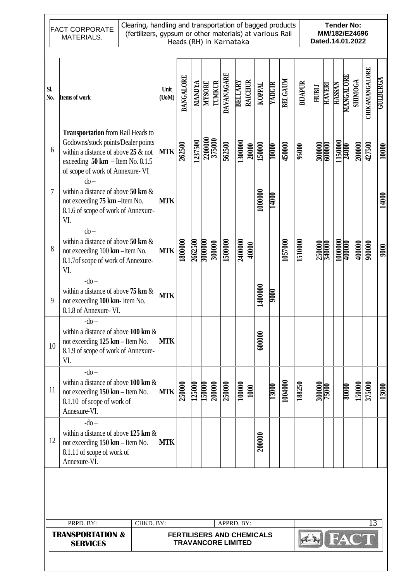FACT CORPORATE MATERIALS.

#### Clearing, handling and transportation of bagged products (fertilizers, gypsum or other materials) at various Rail Heads (RH) in Karnataka

**Tender No: MM/182/E24696 Dated.14.01.2022**

| SI.<br>No. | <b>Items of work</b>                                                                                                                                                                                      | Unit<br>$($ UoM $)$ | BANGALORE                                                     | <b>MANDYA</b> | <b>MYSORE</b>           | TUMKUR  | DAVANAGARE | <b>BELLARY</b> | <b>RAICHUR</b> | TVddOX  | YADGIR | BELGAUM | <b>BIJAPUR</b> | HUBLI  | <b>HAVERI</b> | <b>HASSAN</b>           | <b>MANGALORE</b> | <b>SHIMOGA</b> | <b>CHIKAMANGALORE</b> | <b>GULBERGA</b> |
|------------|-----------------------------------------------------------------------------------------------------------------------------------------------------------------------------------------------------------|---------------------|---------------------------------------------------------------|---------------|-------------------------|---------|------------|----------------|----------------|---------|--------|---------|----------------|--------|---------------|-------------------------|------------------|----------------|-----------------------|-----------------|
| 6          | <b>Transportation</b> from Rail Heads to<br>Godowns/stock points/Dealer points<br>within a distance of above $25 \&$ not<br>exceeding $50 \text{ km}$ - Item No. 8.1.5<br>of scope of work of Annexure-VI | <b>MTK</b>          | 262500                                                        | 1237500       |                         | 2200000 | 562500     | 1300000        | 20000          | 150000  | 10000  | 450000  | 95000          | 300000 | 600000        | 1150000                 |                  | 200000         | 427500                | 10000           |
| 7          | $do -$<br>within a distance of above $50 \text{ km } \&$<br>not exceeding 75 km - Item No.<br>8.1.6 of scope of work of Annexure-<br>VI.                                                                  | <b>MTK</b>          |                                                               |               |                         |         |            |                |                | 1000000 | 14000  |         |                |        |               |                         |                  |                |                       | 14000           |
| 8          | $do -$<br>within a distance of above $50 \text{ km } \&$<br>not exceeding 100 km - Item No.<br>8.1.7of scope of work of Annexure-<br>VI.                                                                  | <b>MTK</b>          | 1800000                                                       | 2662500       | 3000000                 | 300000  | 150000     | 2400000        | 40000          |         |        | 1057000 | 1510000        |        | 250000        | $\frac{100000}{400000}$ |                  | 400000         | 900000                | 9000            |
| 9          | $-do-$<br>within a distance of above $75 \text{ km } \&$<br>not exceeding 100 km- Item No.<br>8.1.8 of Annexure-VI.                                                                                       | <b>MTK</b>          |                                                               |               |                         |         |            |                |                | 1400000 | 9006   |         |                |        |               |                         |                  |                |                       |                 |
| 10         | $-do-$<br>within a distance of above 100 km $\&$<br>not exceeding 125 km - Item No.<br>8.1.9 of scope of work of Annexure-<br>VI.                                                                         | <b>MTK</b>          |                                                               |               |                         |         |            |                |                | 600000  |        |         |                |        |               |                         |                  |                |                       |                 |
| 11         | $-do-$<br>within a distance of above 100 km $\&$<br>not exceeding 150 km - Item No.<br>8.1.10 of scope of work of<br>Annexure-VI.                                                                         | MTK                 |                                                               | 125000        | <b>150000</b><br>200000 |         | 250000     | 100000         | 1000           |         | 13000  | 1004000 | 188250         |        | 300000        |                         | 80000            | 150000         | 375000                | 13000           |
| 12         | $-do-$<br>within a distance of above 125 km $\&$<br>not exceeding 150 km – Item No.<br>8.1.11 of scope of work of<br>Annexure-VI.                                                                         | <b>MTK</b>          |                                                               |               |                         |         |            |                |                | 200000  |        |         |                |        |               |                         |                  |                |                       |                 |
|            |                                                                                                                                                                                                           |                     |                                                               |               |                         |         |            |                |                |         |        |         |                |        |               |                         |                  |                |                       |                 |
|            | PRPD. BY:                                                                                                                                                                                                 | CHKD. BY:           |                                                               |               |                         |         | APPRD. BY: |                |                |         |        |         |                |        |               |                         |                  |                | 13                    |                 |
|            | <b>TRANSPORTATION &amp;</b><br><b>SERVICES</b>                                                                                                                                                            |                     | <b>FERTILISERS AND CHEMICALS</b><br><b>TRAVANCORE LIMITED</b> |               |                         |         |            |                |                |         |        |         |                |        |               | <b>FA</b>               |                  |                |                       |                 |
|            |                                                                                                                                                                                                           |                     |                                                               |               |                         |         |            |                |                |         |        |         |                |        |               |                         |                  |                |                       |                 |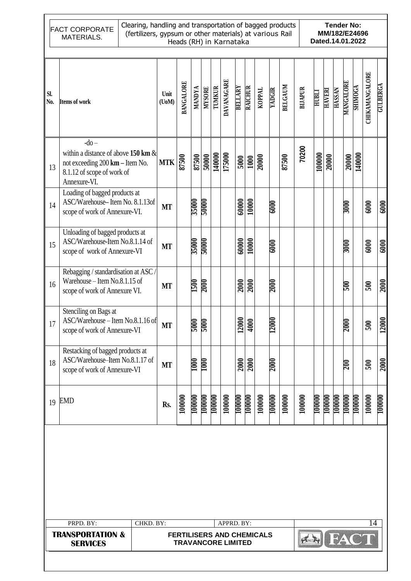|            | Clearing, handling and transportation of bagged products<br><b>Tender No:</b><br><b>FACT CORPORATE</b><br>MM/182/E24696<br>(fertilizers, gypsum or other materials) at various Rail<br>MATERIALS.<br>Dated.14.01.2022<br>Heads (RH) in Karnataka |           |                     |                                                               |                |                   |                  |            |                |                          |        |                   |                |                |               |               |               |             |                |                |                        |
|------------|--------------------------------------------------------------------------------------------------------------------------------------------------------------------------------------------------------------------------------------------------|-----------|---------------------|---------------------------------------------------------------|----------------|-------------------|------------------|------------|----------------|--------------------------|--------|-------------------|----------------|----------------|---------------|---------------|---------------|-------------|----------------|----------------|------------------------|
| SI.<br>No. | <b>Items of work</b>                                                                                                                                                                                                                             |           | Unit<br>$($ UoM $)$ | <b>BANGALORE</b>                                              | <b>VACNVIN</b> | <b>MYSORE</b>     | <b>TUMKUR</b>    | DAVANAGARE | <b>BELLARY</b> | RAICHUR                  | KOPPAL | YADGIR            | <b>BELGAUM</b> | <b>BIJAPUR</b> | <b>HUBLI</b>  | <b>HAVERI</b> | <b>HASSAN</b> | MANGALORE   | <b>SHIMOGA</b> | CHIKAMANGALORE | <b>GULBERGA</b>        |
| 13         | $-do-$<br>within a distance of above 150 km $\&$<br>not exceeding 200 km - Item No.<br>8.1.12 of scope of work of<br>Annexure-VI.                                                                                                                |           | <b>MTK</b>          | 87500                                                         | 87500          | 50000             | 140000<br>175000 |            | 5000           | 1000                     | 20000  |                   | 87500          | 70200          | 100000        | 20000         |               | 20000       | 140000         |                |                        |
| 14         | Loading of bagged products at<br>ASC/Warehouse-Item No. 8.1.13of<br>scope of work of Annexure-VI.                                                                                                                                                |           | <b>MT</b>           |                                                               | 35000          | 50000             |                  |            | 60000          | 10000                    |        | $\overline{6000}$ |                |                |               |               |               | 3000        |                | 6000           | 6000                   |
| 15         | Unloading of bagged products at<br>ASC/Warehouse-Item No.8.1.14 of<br>scope of work of Annexure-VI                                                                                                                                               |           | <b>MT</b>           |                                                               | 35000          | <b>20000</b>      |                  |            | 60000          | 10000                    |        | $\overline{6000}$ |                |                |               |               |               | 3000E       |                | 6000           | 6000                   |
| 16         | Rebagging / standardisation at ASC /<br>Warehouse - Item No.8.1.15 of<br>scope of work of Annexure VI.                                                                                                                                           |           | <b>MT</b>           |                                                               | 1500           | 2000              |                  |            | 2000           | 2000                     |        | 2000              |                |                |               |               |               | 500         |                | 500            | 2000                   |
|            | Stenciling on Bags at<br>17   ASC/Warehouse - Item No.8.1.16 of<br>scope of work of Annexure-VI                                                                                                                                                  |           | МT                  |                                                               | 2000<br>000S   |                   |                  |            | 12000          | $\approx$<br>$\tilde{=}$ |        | 13<br>120         |                |                |               |               |               | <b>2000</b> |                | 500            | $\infty$<br><b>120</b> |
| 18         | Restacking of bagged products at<br>ASC/Warehouse-Item No.8.1.17 of<br>scope of work of Annexure-VI                                                                                                                                              |           | <b>MT</b>           |                                                               | <b>1000</b>    | $\overline{1000}$ |                  |            |                | $\frac{2000}{2000}$      |        | <b>2000</b>       |                |                |               |               |               | 200         |                | 500            | 2000                   |
| 19         | EMD                                                                                                                                                                                                                                              |           | Rs.                 | 100000                                                        | 100000         | 100000            | 100000           | 100000     | 100000         | 100000                   | 100000 | 100000            | 100000         | 100000         | <b>T00000</b> | 100000        | <b>T00000</b> | 100000      | 100000         | 100000         | 100000                 |
|            |                                                                                                                                                                                                                                                  |           |                     |                                                               |                |                   |                  |            |                |                          |        |                   |                |                |               |               |               |             |                |                |                        |
|            |                                                                                                                                                                                                                                                  |           |                     |                                                               |                |                   |                  |            |                |                          |        |                   |                |                |               |               |               |             |                |                |                        |
|            | PRPD. BY:                                                                                                                                                                                                                                        | CHKD. BY: |                     |                                                               |                |                   |                  | APPRD. BY: |                |                          |        |                   |                |                |               |               |               |             |                | 14             |                        |
|            | <b>TRANSPORTATION &amp;</b><br><b>SERVICES</b>                                                                                                                                                                                                   |           |                     | <b>FERTILISERS AND CHEMICALS</b><br><b>TRAVANCORE LIMITED</b> |                |                   |                  |            |                |                          |        |                   |                |                |               |               |               |             |                |                |                        |
|            |                                                                                                                                                                                                                                                  |           |                     |                                                               |                |                   |                  |            |                |                          |        |                   |                |                |               |               |               |             |                |                |                        |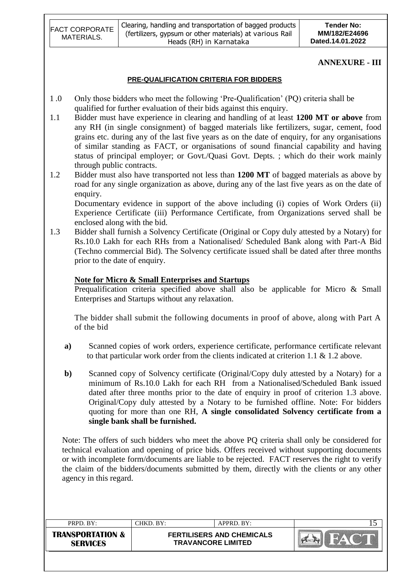| <b>FACT CORPORATE</b> | Clearing, handling and transportation of bagged products | <b>Tender No:</b> |
|-----------------------|----------------------------------------------------------|-------------------|
| MATERIALS.            | (fertilizers, gypsum or other materials) at various Rail | MM/182/E24696     |
|                       | Heads (RH) in Karnataka                                  | Dated.14.01.2022  |

#### **ANNEXURE - III**

#### **PRE-QUALIFICATION CRITERIA FOR BIDDERS**

- 1 .0 Only those bidders who meet the following "Pre-Qualification" (PQ) criteria shall be qualified for further evaluation of their bids against this enquiry.
- 1.1 Bidder must have experience in clearing and handling of at least **1200 MT or above** from any RH (in single consignment) of bagged materials like fertilizers, sugar, cement, food grains etc. during any of the last five years as on the date of enquiry, for any organisations of similar standing as FACT, or organisations of sound financial capability and having status of principal employer; or Govt./Quasi Govt. Depts. ; which do their work mainly through public contracts.
- 1.2 Bidder must also have transported not less than **1200 MT** of bagged materials as above by road for any single organization as above, during any of the last five years as on the date of enquiry.

Documentary evidence in support of the above including (i) copies of Work Orders (ii) Experience Certificate (iii) Performance Certificate, from Organizations served shall be enclosed along with the bid.

1.3 Bidder shall furnish a Solvency Certificate (Original or Copy duly attested by a Notary) for Rs.10.0 Lakh for each RHs from a Nationalised/ Scheduled Bank along with Part-A Bid (Techno commercial Bid). The Solvency certificate issued shall be dated after three months prior to the date of enquiry.

#### **Note for Micro & Small Enterprises and Startups**

Prequalification criteria specified above shall also be applicable for Micro & Small Enterprises and Startups without any relaxation.

The bidder shall submit the following documents in proof of above, along with Part A of the bid

- **a)** Scanned copies of work orders, experience certificate, performance certificate relevant to that particular work order from the clients indicated at criterion 1.1 & 1.2 above.
- **b**) Scanned copy of Solvency certificate (Original/Copy duly attested by a Notary) for a minimum of Rs.10.0 Lakh for each RH from a Nationalised/Scheduled Bank issued dated after three months prior to the date of enquiry in proof of criterion 1.3 above. Original/Copy duly attested by a Notary to be furnished offline. Note: For bidders quoting for more than one RH, **A single consolidated Solvency certificate from a single bank shall be furnished.**

Note: The offers of such bidders who meet the above PQ criteria shall only be considered for technical evaluation and opening of price bids. Offers received without supporting documents or with incomplete form/documents are liable to be rejected. FACT reserves the right to verify the claim of the bidders/documents submitted by them, directly with the clients or any other agency in this regard.

| PRPD, BY:                                      | CHKD. BY: | $APPRD$ . BY:                                                 |  |  |  |
|------------------------------------------------|-----------|---------------------------------------------------------------|--|--|--|
| <b>TRANSPORTATION &amp;</b><br><b>SERVICES</b> |           | <b>FERTILISERS AND CHEMICALS</b><br><b>TRAVANCORE LIMITED</b> |  |  |  |
|                                                |           |                                                               |  |  |  |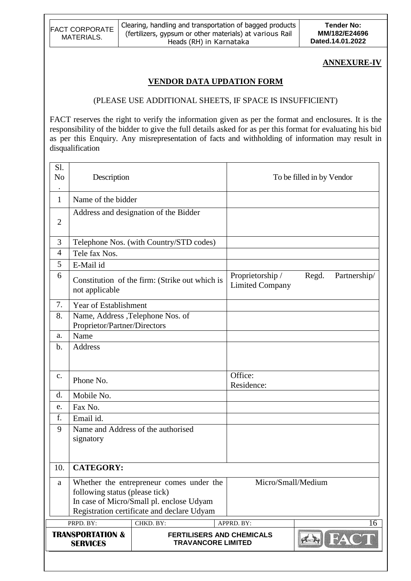| <b>FACT CORPORATE</b> | Clearing, handling and transportation of bagged products | <b>Tender No:</b> |
|-----------------------|----------------------------------------------------------|-------------------|
| MATERIALS.            | (fertilizers, gypsum or other materials) at various Rail | MM/182/E24696     |
|                       | Heads (RH) in Karnataka                                  | Dated.14.01.2022  |

#### **ANNEXURE-IV**

## **VENDOR DATA UPDATION FORM**

#### (PLEASE USE ADDITIONAL SHEETS, IF SPACE IS INSUFFICIENT)

FACT reserves the right to verify the information given as per the format and enclosures. It is the responsibility of the bidder to give the full details asked for as per this format for evaluating his bid as per this Enquiry. Any misrepresentation of facts and withholding of information may result in disqualification

| Sl.<br>N <sub>o</sub><br>$\bullet$ | Description                                    |                                                                                                                                    |                                            | To be filled in by Vendor |
|------------------------------------|------------------------------------------------|------------------------------------------------------------------------------------------------------------------------------------|--------------------------------------------|---------------------------|
| 1                                  | Name of the bidder                             |                                                                                                                                    |                                            |                           |
| $\overline{2}$                     |                                                | Address and designation of the Bidder                                                                                              |                                            |                           |
| 3                                  |                                                | Telephone Nos. (with Country/STD codes)                                                                                            |                                            |                           |
| $\overline{4}$                     | Tele fax Nos.                                  |                                                                                                                                    |                                            |                           |
| 5                                  | E-Mail id                                      |                                                                                                                                    |                                            |                           |
| 6                                  | not applicable                                 | Constitution of the firm: (Strike out which is                                                                                     | Proprietorship /<br><b>Limited Company</b> | Regd.<br>Partnership/     |
| 7.                                 | <b>Year of Establishment</b>                   |                                                                                                                                    |                                            |                           |
| 8.                                 | Proprietor/Partner/Directors                   | Name, Address , Telephone Nos. of                                                                                                  |                                            |                           |
| a.                                 | Name                                           |                                                                                                                                    |                                            |                           |
| $b$ .                              | <b>Address</b>                                 |                                                                                                                                    |                                            |                           |
| c.                                 | Phone No.                                      |                                                                                                                                    | Office:<br>Residence:                      |                           |
| d.                                 | Mobile No.                                     |                                                                                                                                    |                                            |                           |
| e.                                 | Fax No.                                        |                                                                                                                                    |                                            |                           |
| f.                                 | Email id.                                      |                                                                                                                                    |                                            |                           |
| 9                                  | signatory                                      | Name and Address of the authorised                                                                                                 |                                            |                           |
| 10.                                | <b>CATEGORY:</b>                               |                                                                                                                                    |                                            |                           |
| a                                  | following status (please tick)                 | Whether the entrepreneur comes under the<br>In case of Micro/Small pl. enclose Udyam<br>Registration certificate and declare Udyam |                                            | Micro/Small/Medium        |
|                                    | PRPD. BY:                                      | CHKD. BY:                                                                                                                          | APPRD. BY:                                 | 16                        |
|                                    | <b>TRANSPORTATION &amp;</b><br><b>SERVICES</b> | <b>TRAVANCORE LIMITED</b>                                                                                                          | <b>FERTILISERS AND CHEMICALS</b>           |                           |
|                                    |                                                |                                                                                                                                    |                                            |                           |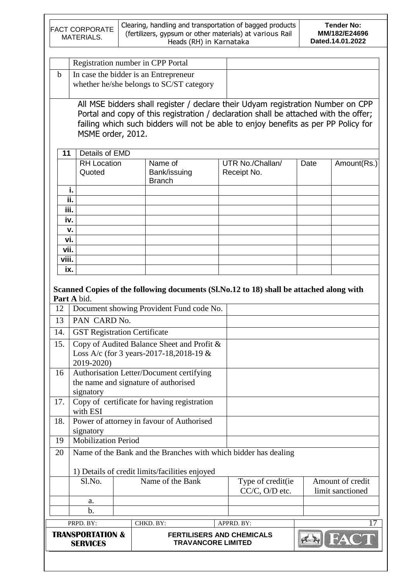|          | <b>FACT CORPORATE</b><br>MATERIALS.            | Clearing, handling and transportation of bagged products<br>(fertilizers, gypsum or other materials) at various Rail                                                                                                                                          | Heads (RH) in Karnataka                                       |                                     |      | <b>Tender No:</b><br>MM/182/E24696<br>Dated.14.01.2022 |
|----------|------------------------------------------------|---------------------------------------------------------------------------------------------------------------------------------------------------------------------------------------------------------------------------------------------------------------|---------------------------------------------------------------|-------------------------------------|------|--------------------------------------------------------|
|          |                                                |                                                                                                                                                                                                                                                               |                                                               |                                     |      |                                                        |
|          |                                                | Registration number in CPP Portal                                                                                                                                                                                                                             |                                                               |                                     |      |                                                        |
| b        |                                                | In case the bidder is an Entrepreneur<br>whether he/she belongs to SC/ST category                                                                                                                                                                             |                                                               |                                     |      |                                                        |
|          | MSME order, 2012.                              | All MSE bidders shall register / declare their Udyam registration Number on CPP<br>Portal and copy of this registration / declaration shall be attached with the offer;<br>failing which such bidders will not be able to enjoy benefits as per PP Policy for |                                                               |                                     |      |                                                        |
| 11       | Details of EMD                                 |                                                                                                                                                                                                                                                               |                                                               |                                     |      |                                                        |
|          | <b>RH</b> Location<br>Quoted                   | Name of<br>Bank/issuing<br><b>Branch</b>                                                                                                                                                                                                                      |                                                               | UTR No./Challan/<br>Receipt No.     | Date | Amount(Rs.)                                            |
|          | i.                                             |                                                                                                                                                                                                                                                               |                                                               |                                     |      |                                                        |
|          | ii.                                            |                                                                                                                                                                                                                                                               |                                                               |                                     |      |                                                        |
| iii.     |                                                |                                                                                                                                                                                                                                                               |                                                               |                                     |      |                                                        |
| iv.      |                                                |                                                                                                                                                                                                                                                               |                                                               |                                     |      |                                                        |
| vi.      | v.                                             |                                                                                                                                                                                                                                                               |                                                               |                                     |      |                                                        |
| vii.     |                                                |                                                                                                                                                                                                                                                               |                                                               |                                     |      |                                                        |
| viii.    |                                                |                                                                                                                                                                                                                                                               |                                                               |                                     |      |                                                        |
| ix.      |                                                |                                                                                                                                                                                                                                                               |                                                               |                                     |      |                                                        |
| 12<br>13 | Part A bid.<br>PAN CARD No.                    | Scanned Copies of the following documents (Sl.No.12 to 18) shall be attached along with<br>Document showing Provident Fund code No.                                                                                                                           |                                                               |                                     |      |                                                        |
| 14.      |                                                | <b>GST Registration Certificate</b>                                                                                                                                                                                                                           |                                                               |                                     |      |                                                        |
|          |                                                |                                                                                                                                                                                                                                                               |                                                               |                                     |      |                                                        |
| 15.      | 2019-2020)                                     | Copy of Audited Balance Sheet and Profit &<br>Loss A/c (for 3 years-2017-18,2018-19 $&$                                                                                                                                                                       |                                                               |                                     |      |                                                        |
| 16       |                                                | Authorisation Letter/Document certifying                                                                                                                                                                                                                      |                                                               |                                     |      |                                                        |
|          |                                                | the name and signature of authorised                                                                                                                                                                                                                          |                                                               |                                     |      |                                                        |
|          | signatory                                      |                                                                                                                                                                                                                                                               |                                                               |                                     |      |                                                        |
| 17.      | with ESI                                       | Copy of certificate for having registration                                                                                                                                                                                                                   |                                                               |                                     |      |                                                        |
| 18.      | signatory                                      | Power of attorney in favour of Authorised                                                                                                                                                                                                                     |                                                               |                                     |      |                                                        |
| 19       | <b>Mobilization Period</b>                     |                                                                                                                                                                                                                                                               |                                                               |                                     |      |                                                        |
| 20       |                                                | Name of the Bank and the Branches with which bidder has dealing<br>1) Details of credit limits/facilities enjoyed                                                                                                                                             |                                                               |                                     |      |                                                        |
|          | Sl.No.                                         | Name of the Bank                                                                                                                                                                                                                                              |                                                               | Type of credit(ie<br>CC/C, O/D etc. |      | Amount of credit<br>limit sanctioned                   |
|          | a.                                             |                                                                                                                                                                                                                                                               |                                                               |                                     |      |                                                        |
|          | b.                                             |                                                                                                                                                                                                                                                               |                                                               |                                     |      |                                                        |
|          | PRPD. BY:                                      | CHKD. BY:                                                                                                                                                                                                                                                     | APPRD. BY:                                                    |                                     |      |                                                        |
|          | <b>TRANSPORTATION &amp;</b><br><b>SERVICES</b> |                                                                                                                                                                                                                                                               | <b>FERTILISERS AND CHEMICALS</b><br><b>TRAVANCORE LIMITED</b> |                                     |      |                                                        |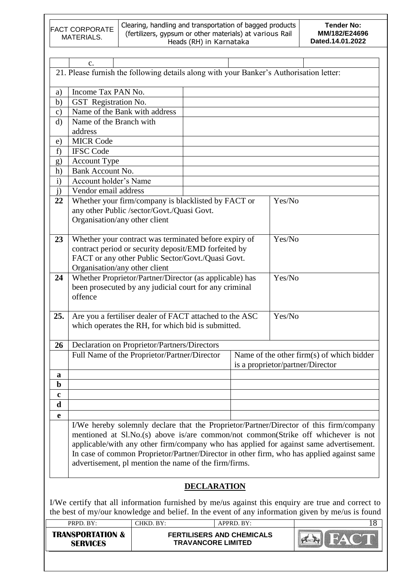|               | Clearing, handling and transportation of bagged products<br><b>Tender No:</b><br><b>FACT CORPORATE</b><br>(fertilizers, gypsum or other materials) at various Rail<br>MM/182/E24696<br>MATERIALS.<br>Dated.14.01.2022<br>Heads (RH) in Karnataka |                                                                                                               |                                                               |            |        |                                                                                                                                                                                                                                                                                                                                                                    |  |  |  |  |
|---------------|--------------------------------------------------------------------------------------------------------------------------------------------------------------------------------------------------------------------------------------------------|---------------------------------------------------------------------------------------------------------------|---------------------------------------------------------------|------------|--------|--------------------------------------------------------------------------------------------------------------------------------------------------------------------------------------------------------------------------------------------------------------------------------------------------------------------------------------------------------------------|--|--|--|--|
|               |                                                                                                                                                                                                                                                  |                                                                                                               |                                                               |            |        |                                                                                                                                                                                                                                                                                                                                                                    |  |  |  |  |
|               | c.                                                                                                                                                                                                                                               |                                                                                                               |                                                               |            |        |                                                                                                                                                                                                                                                                                                                                                                    |  |  |  |  |
|               |                                                                                                                                                                                                                                                  | 21. Please furnish the following details along with your Banker's Authorisation letter:                       |                                                               |            |        |                                                                                                                                                                                                                                                                                                                                                                    |  |  |  |  |
| a)            | Income Tax PAN No.                                                                                                                                                                                                                               |                                                                                                               |                                                               |            |        |                                                                                                                                                                                                                                                                                                                                                                    |  |  |  |  |
| b)            | GST Registration No.                                                                                                                                                                                                                             |                                                                                                               |                                                               |            |        |                                                                                                                                                                                                                                                                                                                                                                    |  |  |  |  |
| $\mathbf{c})$ |                                                                                                                                                                                                                                                  | Name of the Bank with address                                                                                 |                                                               |            |        |                                                                                                                                                                                                                                                                                                                                                                    |  |  |  |  |
| $\rm d$       | Name of the Branch with<br>address                                                                                                                                                                                                               |                                                                                                               |                                                               |            |        |                                                                                                                                                                                                                                                                                                                                                                    |  |  |  |  |
| e)            | <b>MICR Code</b>                                                                                                                                                                                                                                 |                                                                                                               |                                                               |            |        |                                                                                                                                                                                                                                                                                                                                                                    |  |  |  |  |
| f             | <b>IFSC Code</b>                                                                                                                                                                                                                                 |                                                                                                               |                                                               |            |        |                                                                                                                                                                                                                                                                                                                                                                    |  |  |  |  |
| g)            | <b>Account Type</b>                                                                                                                                                                                                                              |                                                                                                               |                                                               |            |        |                                                                                                                                                                                                                                                                                                                                                                    |  |  |  |  |
| h)            | Bank Account No.                                                                                                                                                                                                                                 |                                                                                                               |                                                               |            |        |                                                                                                                                                                                                                                                                                                                                                                    |  |  |  |  |
| $\mathbf{i}$  | Account holder's Name                                                                                                                                                                                                                            |                                                                                                               |                                                               |            |        |                                                                                                                                                                                                                                                                                                                                                                    |  |  |  |  |
| j)            | Vendor email address                                                                                                                                                                                                                             |                                                                                                               |                                                               |            |        |                                                                                                                                                                                                                                                                                                                                                                    |  |  |  |  |
| 22            | Whether your firm/company is blacklisted by FACT or<br>Yes/No<br>any other Public /sector/Govt./Quasi Govt.<br>Organisation/any other client                                                                                                     |                                                                                                               |                                                               |            |        |                                                                                                                                                                                                                                                                                                                                                                    |  |  |  |  |
| 23            | Yes/No<br>Whether your contract was terminated before expiry of<br>contract period or security deposit/EMD forfeited by<br>FACT or any other Public Sector/Govt./Quasi Govt.<br>Organisation/any other client                                    |                                                                                                               |                                                               |            |        |                                                                                                                                                                                                                                                                                                                                                                    |  |  |  |  |
| 24            | Whether Proprietor/Partner/Director (as applicable) has<br>Yes/No<br>been prosecuted by any judicial court for any criminal<br>offence                                                                                                           |                                                                                                               |                                                               |            |        |                                                                                                                                                                                                                                                                                                                                                                    |  |  |  |  |
| 25.           |                                                                                                                                                                                                                                                  | Are you a fertiliser dealer of FACT attached to the ASC<br>which operates the RH, for which bid is submitted. |                                                               |            | Yes/No |                                                                                                                                                                                                                                                                                                                                                                    |  |  |  |  |
| 26            |                                                                                                                                                                                                                                                  | Declaration on Proprietor/Partners/Directors                                                                  |                                                               |            |        |                                                                                                                                                                                                                                                                                                                                                                    |  |  |  |  |
|               |                                                                                                                                                                                                                                                  | Full Name of the Proprietor/Partner/Director                                                                  |                                                               |            |        | Name of the other firm(s) of which bidder<br>is a proprietor/partner/Director                                                                                                                                                                                                                                                                                      |  |  |  |  |
| a             |                                                                                                                                                                                                                                                  |                                                                                                               |                                                               |            |        |                                                                                                                                                                                                                                                                                                                                                                    |  |  |  |  |
| $\mathbf b$   |                                                                                                                                                                                                                                                  |                                                                                                               |                                                               |            |        |                                                                                                                                                                                                                                                                                                                                                                    |  |  |  |  |
| $\mathbf c$   |                                                                                                                                                                                                                                                  |                                                                                                               |                                                               |            |        |                                                                                                                                                                                                                                                                                                                                                                    |  |  |  |  |
| d             |                                                                                                                                                                                                                                                  |                                                                                                               |                                                               |            |        |                                                                                                                                                                                                                                                                                                                                                                    |  |  |  |  |
| $\mathbf e$   |                                                                                                                                                                                                                                                  | advertisement, pl mention the name of the firm/firms.                                                         |                                                               |            |        | I/We hereby solemnly declare that the Proprietor/Partner/Director of this firm/company<br>mentioned at Sl.No.(s) above is/are common/not common(Strike off whichever is not<br>applicable/with any other firm/company who has applied for against same advertisement.<br>In case of common Proprietor/Partner/Director in other firm, who has applied against same |  |  |  |  |
|               |                                                                                                                                                                                                                                                  |                                                                                                               | <b>DECLARATION</b>                                            |            |        |                                                                                                                                                                                                                                                                                                                                                                    |  |  |  |  |
|               | PRPD. BY:                                                                                                                                                                                                                                        | CHKD. BY:                                                                                                     |                                                               | APPRD. BY: |        | I/We certify that all information furnished by me/us against this enquiry are true and correct to<br>the best of my/our knowledge and belief. In the event of any information given by me/us is found<br>18                                                                                                                                                        |  |  |  |  |
|               | <b>TRANSPORTATION &amp;</b><br><b>SERVICES</b>                                                                                                                                                                                                   |                                                                                                               | <b>FERTILISERS AND CHEMICALS</b><br><b>TRAVANCORE LIMITED</b> |            |        |                                                                                                                                                                                                                                                                                                                                                                    |  |  |  |  |
|               |                                                                                                                                                                                                                                                  |                                                                                                               |                                                               |            |        |                                                                                                                                                                                                                                                                                                                                                                    |  |  |  |  |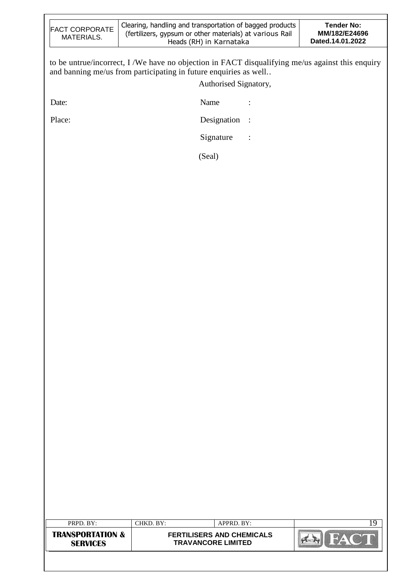| <b>FACT CORPORATE</b><br>MATERIALS.            | Clearing, handling and transportation of bagged products<br>(fertilizers, gypsum or other materials) at various Rail<br>Heads (RH) in Karnataka                                               | <b>Tender No:</b><br>MM/182/E24696<br>Dated.14.01.2022 |
|------------------------------------------------|-----------------------------------------------------------------------------------------------------------------------------------------------------------------------------------------------|--------------------------------------------------------|
|                                                | to be untrue/incorrect, I /We have no objection in FACT disqualifying me/us against this enquiry<br>and banning me/us from participating in future enquiries as well<br>Authorised Signatory, |                                                        |
| Date:                                          | Name<br>$\ddot{\cdot}$                                                                                                                                                                        |                                                        |
| Place:                                         | Designation<br>$\cdot$ :                                                                                                                                                                      |                                                        |
|                                                | Signature<br>$\vdots$                                                                                                                                                                         |                                                        |
|                                                | (Seal)                                                                                                                                                                                        |                                                        |
|                                                |                                                                                                                                                                                               |                                                        |
|                                                |                                                                                                                                                                                               |                                                        |
|                                                |                                                                                                                                                                                               |                                                        |
|                                                |                                                                                                                                                                                               |                                                        |
|                                                |                                                                                                                                                                                               |                                                        |
|                                                |                                                                                                                                                                                               |                                                        |
|                                                |                                                                                                                                                                                               |                                                        |
|                                                |                                                                                                                                                                                               |                                                        |
|                                                |                                                                                                                                                                                               |                                                        |
|                                                |                                                                                                                                                                                               |                                                        |
|                                                |                                                                                                                                                                                               |                                                        |
|                                                |                                                                                                                                                                                               |                                                        |
|                                                |                                                                                                                                                                                               |                                                        |
|                                                |                                                                                                                                                                                               |                                                        |
|                                                |                                                                                                                                                                                               |                                                        |
|                                                |                                                                                                                                                                                               |                                                        |
|                                                |                                                                                                                                                                                               |                                                        |
|                                                |                                                                                                                                                                                               |                                                        |
|                                                |                                                                                                                                                                                               |                                                        |
|                                                |                                                                                                                                                                                               |                                                        |
| PRPD. BY:                                      | APPRD. BY:<br>CHKD. BY:                                                                                                                                                                       | 19                                                     |
| <b>TRANSPORTATION &amp;</b><br><b>SERVICES</b> | <b>FERTILISERS AND CHEMICALS</b><br><b>TRAVANCORE LIMITED</b>                                                                                                                                 | FA                                                     |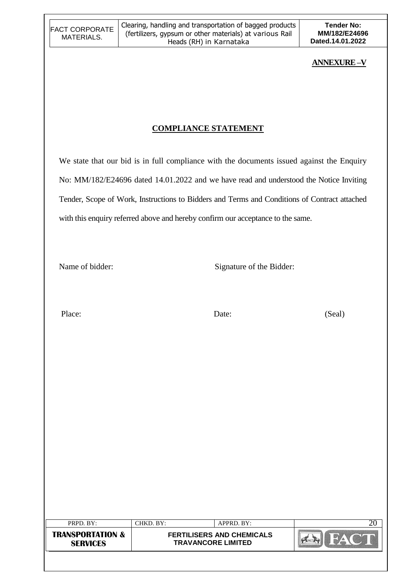## **ANNEXURE –V**

# **COMPLIANCE STATEMENT**

We state that our bid is in full compliance with the documents issued against the Enquiry No: MM/182/E24696 dated 14.01.2022 and we have read and understood the Notice Inviting Tender, Scope of Work, Instructions to Bidders and Terms and Conditions of Contract attached with this enquiry referred above and hereby confirm our acceptance to the same.

Name of bidder: Signature of the Bidder:

Place: Date: Date: (Seal)

| PRPD. BY:                                      | "HKD. BY: | $APPRD$ . BY:                                                 |  |
|------------------------------------------------|-----------|---------------------------------------------------------------|--|
| <b>TRANSPORTATION &amp;</b><br><b>SERVICES</b> |           | <b>FERTILISERS AND CHEMICALS</b><br><b>TRAVANCORE LIMITED</b> |  |
|                                                |           |                                                               |  |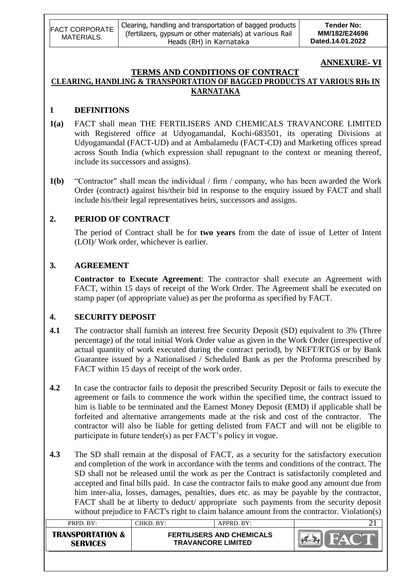| <b>FACT CORPORATE</b><br>MATERIALS. | Clearing, handling and transportation of bagged products<br>(fertilizers, gypsum or other materials) at various Rail<br>Heads (RH) in Karnataka | <b>Tender No:</b><br>MM/182/E24696<br>Dated.14.01.2022 |
|-------------------------------------|-------------------------------------------------------------------------------------------------------------------------------------------------|--------------------------------------------------------|
|-------------------------------------|-------------------------------------------------------------------------------------------------------------------------------------------------|--------------------------------------------------------|

# **ANNEXURE- VI**

#### **TERMS AND CONDITIONS OF CONTRACT CLEARING, HANDLING & TRANSPORTATION OF BAGGED PRODUCTS AT VARIOUS RHs IN KARNATAKA**

#### **1 DEFINITIONS**

- **1(a)** FACT shall mean THE FERTILISERS AND CHEMICALS TRAVANCORE LIMITED with Registered office at Udyogamandal, Kochi-683501, its operating Divisions at Udyogamandal (FACT-UD) and at Ambalamedu (FACT-CD) and Marketing offices spread across South India (which expression shall repugnant to the context or meaning thereof, include its successors and assigns).
- **1(b)** "Contractor" shall mean the individual / firm / company, who has been awarded the Work Order (contract) against his/their bid in response to the enquiry issued by FACT and shall include his/their legal representatives heirs, successors and assigns.

#### **2. PERIOD OF CONTRACT**

The period of Contract shall be for **two years** from the date of issue of Letter of Intent (LOI)/ Work order, whichever is earlier.

#### **3. AGREEMENT**

**Contractor to Execute Agreement**: The contractor shall execute an Agreement with FACT, within 15 days of receipt of the Work Order. The Agreement shall be executed on stamp paper (of appropriate value) as per the proforma as specified by FACT.

#### **4. SECURITY DEPOSIT**

- **4.1** The contractor shall furnish an interest free Security Deposit (SD) equivalent to 3% (Three percentage) of the total initial Work Order value as given in the Work Order (irrespective of actual quantity of work executed during the contract period), by NEFT/RTGS or by Bank Guarantee issued by a Nationalised / Scheduled Bank as per the Proforma prescribed by FACT within 15 days of receipt of the work order.
- **4.2** In case the contractor fails to deposit the prescribed Security Deposit or fails to execute the agreement or fails to commence the work within the specified time, the contract issued to him is liable to be terminated and the Earnest Money Deposit (EMD) if applicable shall be forfeited and alternative arrangements made at the risk and cost of the contractor. The contractor will also be liable for getting delisted from FACT and will not be eligible to participate in future tender(s) as per FACT"s policy in vogue.
- **4.3** The SD shall remain at the disposal of FACT, as a security for the satisfactory execution and completion of the work in accordance with the terms and conditions of the contract. The SD shall not be released until the work as per the Contract is satisfactorily completed and accepted and final bills paid. In case the contractor fails to make good any amount due from him inter-alia, losses, damages, penalties, dues etc. as may be payable by the contractor, FACT shall be at liberty to deduct/ appropriate such payments from the security deposit without prejudice to FACT's right to claim balance amount from the contractor. Violation(s)

| PRPD. BY:                                      | CHKD. BY:                                                     | APPRD. BY: |  |
|------------------------------------------------|---------------------------------------------------------------|------------|--|
| <b>TRANSPORTATION &amp;</b><br><b>SERVICES</b> | <b>FERTILISERS AND CHEMICALS</b><br><b>TRAVANCORE LIMITED</b> |            |  |
|                                                |                                                               |            |  |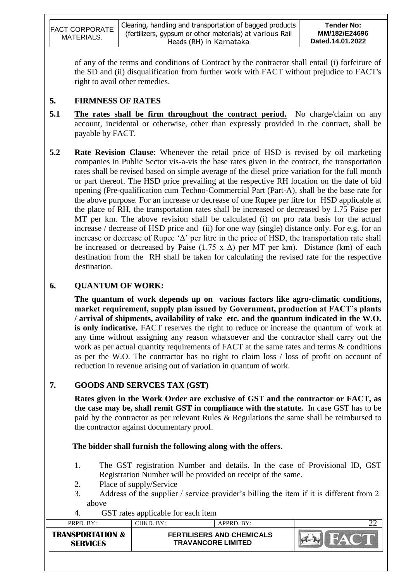| <b>FACT CORPORATE</b><br>MATERIALS. | Clearing, handling and transportation of bagged products<br>(fertilizers, gypsum or other materials) at various Rail<br>Heads (RH) in Karnataka | <b>Tender No:</b><br>MM/182/E24696<br>Dated.14.01.2022 |
|-------------------------------------|-------------------------------------------------------------------------------------------------------------------------------------------------|--------------------------------------------------------|
|-------------------------------------|-------------------------------------------------------------------------------------------------------------------------------------------------|--------------------------------------------------------|

of any of the terms and conditions of Contract by the contractor shall entail (i) forfeiture of the SD and (ii) disqualification from further work with FACT without prejudice to FACT's right to avail other remedies.

## **5. FIRMNESS OF RATES**

- **5.1 The rates shall be firm throughout the contract period.** No charge/claim on any account, incidental or otherwise, other than expressly provided in the contract, shall be payable by FACT.
- **5.2 Rate Revision Clause**: Whenever the retail price of HSD is revised by oil marketing companies in Public Sector vis-a-vis the base rates given in the contract, the transportation rates shall be revised based on simple average of the diesel price variation for the full month or part thereof. The HSD price prevailing at the respective RH location on the date of bid opening (Pre-qualification cum Techno-Commercial Part (Part-A), shall be the base rate for the above purpose. For an increase or decrease of one Rupee per litre for HSD applicable at the place of RH, the transportation rates shall be increased or decreased by 1.75 Paise per MT per km. The above revision shall be calculated (i) on pro rata basis for the actual increase / decrease of HSD price and (ii) for one way (single) distance only. For e.g. for an increase or decrease of Rupee ' $\Delta$ ' per litre in the price of HSD, the transportation rate shall be increased or decreased by Paise (1.75 x  $\Delta$ ) per MT per km). Distance (km) of each destination from the RH shall be taken for calculating the revised rate for the respective destination.

# **6. QUANTUM OF WORK:**

**The quantum of work depends up on various factors like agro-climatic conditions, market requirement, supply plan issued by Government, production at FACT's plants / arrival of shipments, availability of rake etc. and the quantum indicated in the W.O. is only indicative.** FACT reserves the right to reduce or increase the quantum of work at any time without assigning any reason whatsoever and the contractor shall carry out the work as per actual quantity requirements of FACT at the same rates and terms & conditions as per the W.O. The contractor has no right to claim loss / loss of profit on account of reduction in revenue arising out of variation in quantum of work.

# **7. GOODS AND SERVCES TAX (GST)**

**Rates given in the Work Order are exclusive of GST and the contractor or FACT, as the case may be, shall remit GST in compliance with the statute.** In case GST has to be paid by the contractor as per relevant Rules & Regulations the same shall be reimbursed to the contractor against documentary proof.

 **The bidder shall furnish the following along with the offers.**

- 1. The GST registration Number and details. In the case of Provisional ID, GST Registration Number will be provided on receipt of the same.
- 2. Place of supply/Service
- 3. Address of the supplier / service provider's billing the item if it is different from 2 above
- 4. GST rates applicable for each item

| PRPD. BY:                                      | CHKD. BY:                                                     | APPRD. BY: | ∠∠ |
|------------------------------------------------|---------------------------------------------------------------|------------|----|
| <b>TRANSPORTATION &amp;</b><br><b>SFRVICFS</b> | <b>FERTILISERS AND CHEMICALS</b><br><b>TRAVANCORE LIMITED</b> |            |    |
|                                                |                                                               |            |    |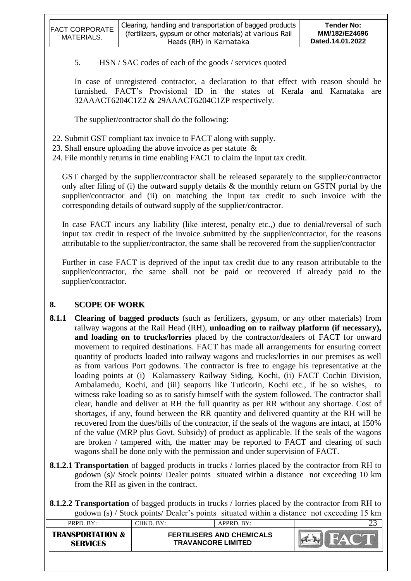| <b>FACT CORPORATE</b><br>MATERIALS. | Clearing, handling and transportation of bagged products<br>(fertilizers, gypsum or other materials) at various Rail<br>Heads (RH) in Karnataka | Tender No:<br>MM/182/E24696<br>Dated.14.01.2022 |
|-------------------------------------|-------------------------------------------------------------------------------------------------------------------------------------------------|-------------------------------------------------|
|-------------------------------------|-------------------------------------------------------------------------------------------------------------------------------------------------|-------------------------------------------------|

5. HSN / SAC codes of each of the goods / services quoted

In case of unregistered contractor, a declaration to that effect with reason should be furnished. FACT"s Provisional ID in the states of Kerala and Karnataka are 32AAACT6204C1Z2 & 29AAACT6204C1ZP respectively.

The supplier/contractor shall do the following:

- 22. Submit GST compliant tax invoice to FACT along with supply.
- 23. Shall ensure uploading the above invoice as per statute &
- 24. File monthly returns in time enabling FACT to claim the input tax credit.

GST charged by the supplier/contractor shall be released separately to the supplier/contractor only after filing of (i) the outward supply details  $\&$  the monthly return on GSTN portal by the supplier/contractor and (ii) on matching the input tax credit to such invoice with the corresponding details of outward supply of the supplier/contractor.

In case FACT incurs any liability (like interest, penalty etc.,) due to denial/reversal of such input tax credit in respect of the invoice submitted by the supplier/contractor, for the reasons attributable to the supplier/contractor, the same shall be recovered from the supplier/contractor

Further in case FACT is deprived of the input tax credit due to any reason attributable to the supplier/contractor, the same shall not be paid or recovered if already paid to the supplier/contractor.

# **8. SCOPE OF WORK**

- **8.1.1 Clearing of bagged products** (such as fertilizers, gypsum, or any other materials) from railway wagons at the Rail Head (RH), **unloading on to railway platform (if necessary), and loading on to trucks/lorries** placed by the contractor/dealers of FACT for onward movement to required destinations. FACT has made all arrangements for ensuring correct quantity of products loaded into railway wagons and trucks/lorries in our premises as well as from various Port godowns. The contractor is free to engage his representative at the loading points at (i) Kalamassery Railway Siding, Kochi, (ii) FACT Cochin Division, Ambalamedu, Kochi, and (iii) seaports like Tuticorin, Kochi etc., if he so wishes, to witness rake loading so as to satisfy himself with the system followed. The contractor shall clear, handle and deliver at RH the full quantity as per RR without any shortage. Cost of shortages, if any, found between the RR quantity and delivered quantity at the RH will be recovered from the dues/bills of the contractor, if the seals of the wagons are intact, at 150% of the value (MRP plus Govt. Subsidy) of product as applicable. If the seals of the wagons are broken / tampered with, the matter may be reported to FACT and clearing of such wagons shall be done only with the permission and under supervision of FACT.
- **8.1.2.1 Transportation** of bagged products in trucks / lorries placed by the contractor from RH to godown (s)/ Stock points/ Dealer points situated within a distance not exceeding 10 km from the RH as given in the contract.

**8.1.2.2 Transportation** of bagged products in trucks / lorries placed by the contractor from RH to godown (s) / Stock points/ Dealer"s points situated within a distance not exceeding 15 km

|                                                |                                                               |            | ت  |
|------------------------------------------------|---------------------------------------------------------------|------------|----|
| PRPD. BY:                                      | CHKD. BY:                                                     | APPRD. BY: | ~~ |
| <b>TRANSPORTATION &amp;</b><br><b>SERVICES</b> | <b>FERTILISERS AND CHEMICALS</b><br><b>TRAVANCORE LIMITED</b> |            |    |
|                                                |                                                               |            |    |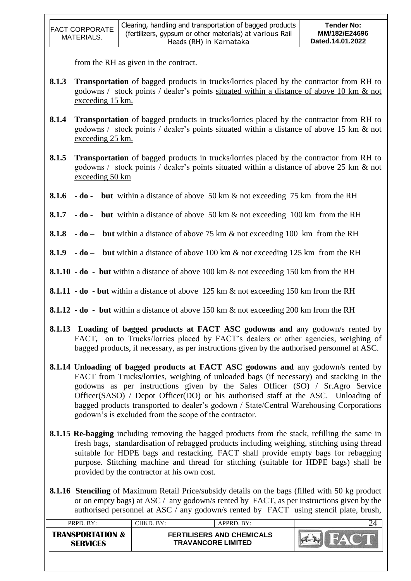| <b>FACT CORPORATE</b> | Clearing, handling and transportation of bagged products<br>(fertilizers, gypsum or other materials) at various Rail | Tender No:<br>MM/182/E24696 |
|-----------------------|----------------------------------------------------------------------------------------------------------------------|-----------------------------|
| MATERIALS.            | Heads (RH) in Karnataka                                                                                              | Dated.14.01.2022            |
|                       |                                                                                                                      |                             |

from the RH as given in the contract.

- **8.1.3 Transportation** of bagged products in trucks/lorries placed by the contractor from RH to godowns / stock points / dealer"s points situated within a distance of above 10 km & not exceeding 15 km.
- **8.1.4 Transportation** of bagged products in trucks/lorries placed by the contractor from RH to godowns / stock points / dealer"s points situated within a distance of above 15 km & not exceeding 25 km.
- **8.1.5 Transportation** of bagged products in trucks/lorries placed by the contractor from RH to godowns / stock points / dealer"s points situated within a distance of above 25 km & not exceeding 50 km
- **8.1.6 - do but** within a distance of above 50 km & not exceeding 75 km from the RH
- **8.1.7 - do but** within a distance of above 50 km & not exceeding 100 km from the RH
- **8.1.8 - do but** within a distance of above 75 km & not exceeding 100 km from the RH
- **8.1.9 - do but** within a distance of above 100 km & not exceeding 125 km from the RH
- **8.1.10 - do but** within a distance of above 100 km & not exceeding 150 km from the RH
- **8.1.11 - do - but** within a distance of above 125 km & not exceeding 150 km from the RH
- **8.1.12 - do but** within a distance of above 150 km & not exceeding 200 km from the RH
- **8.1.13 Loading of bagged products at FACT ASC godowns and** any godown/s rented by FACT, on to Trucks/lorries placed by FACT's dealers or other agencies, weighing of bagged products, if necessary, as per instructions given by the authorised personnel at ASC.
- **8.1.14 Unloading of bagged products at FACT ASC godowns and** any godown/s rented by FACT from Trucks/lorries, weighing of unloaded bags (if necessary) and stacking in the godowns as per instructions given by the Sales Officer (SO) / Sr.Agro Service Officer(SASO) / Depot Officer(DO) or his authorised staff at the ASC. Unloading of bagged products transported to dealer"s godown / State/Central Warehousing Corporations godown"s is excluded from the scope of the contractor.
- **8.1.15 Re-bagging** including removing the bagged products from the stack, refilling the same in fresh bags, standardisation of rebagged products including weighing, stitching using thread suitable for HDPE bags and restacking. FACT shall provide empty bags for rebagging purpose. Stitching machine and thread for stitching (suitable for HDPE bags) shall be provided by the contractor at his own cost.
- **8.1.16 Stenciling** of Maximum Retail Price/subsidy details on the bags (filled with 50 kg product or on empty bags) at ASC / any godown/s rented by FACT, as per instructions given by the authorised personnel at ASC / any godown/s rented by FACT using stencil plate, brush,

| PRPD. BY:                                      | CHKD, BY:                                                     | APPRD. BY: |  |
|------------------------------------------------|---------------------------------------------------------------|------------|--|
| <b>TRANSPORTATION &amp;</b><br><b>SERVICES</b> | <b>FERTILISERS AND CHEMICALS</b><br><b>TRAVANCORE LIMITED</b> |            |  |
|                                                |                                                               |            |  |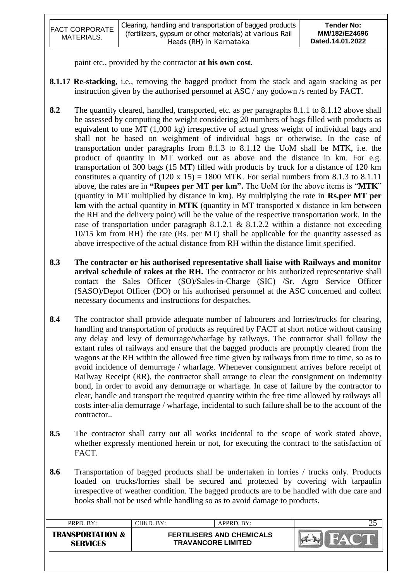| <b>FACT CORPORATE</b><br>MATERIALS. | Clearing, handling and transportation of bagged products<br>(fertilizers, gypsum or other materials) at various Rail<br>Heads (RH) in Karnataka | Tender No:<br>MM/182/E24696<br>Dated.14.01.2022 |
|-------------------------------------|-------------------------------------------------------------------------------------------------------------------------------------------------|-------------------------------------------------|
|-------------------------------------|-------------------------------------------------------------------------------------------------------------------------------------------------|-------------------------------------------------|

paint etc., provided by the contractor **at his own cost.**

- **8.1.17 Re-stacking**, i.e., removing the bagged product from the stack and again stacking as per instruction given by the authorised personnel at ASC / any godown /s rented by FACT.
- **8.2** The quantity cleared, handled, transported, etc. as per paragraphs 8.1.1 to 8.1.12 above shall be assessed by computing the weight considering 20 numbers of bags filled with products as equivalent to one MT (1,000 kg) irrespective of actual gross weight of individual bags and shall not be based on weighment of individual bags or otherwise. In the case of transportation under paragraphs from 8.1.3 to 8.1.12 the UoM shall be MTK, i.e. the product of quantity in MT worked out as above and the distance in km. For e.g. transportation of 300 bags (15 MT) filled with products by truck for a distance of 120 km constitutes a quantity of  $(120 \times 15) = 1800$  MTK. For serial numbers from 8.1.3 to 8.1.11 above, the rates are in **"Rupees per MT per km".** The UoM for the above items is "**MTK**" (quantity in MT multiplied by distance in km). By multiplying the rate in **Rs.per MT per km** with the actual quantity in **MTK** (quantity in MT transported x distance in km between the RH and the delivery point) will be the value of the respective transportation work. In the case of transportation under paragraph 8.1.2.1 & 8.1.2.2 within a distance not exceeding 10/15 km from RH} the rate (Rs. per MT) shall be applicable for the quantity assessed as above irrespective of the actual distance from RH within the distance limit specified.
- **8.3 The contractor or his authorised representative shall liaise with Railways and monitor**  arrival schedule of rakes at the RH. The contractor or his authorized representative shall contact the Sales Officer (SO)/Sales-in-Charge (SIC) /Sr. Agro Service Officer (SASO)/Depot Officer (DO) or his authorised personnel at the ASC concerned and collect necessary documents and instructions for despatches.
- **8.4** The contractor shall provide adequate number of labourers and lorries/trucks for clearing, handling and transportation of products as required by FACT at short notice without causing any delay and levy of demurrage/wharfage by railways. The contractor shall follow the extant rules of railways and ensure that the bagged products are promptly cleared from the wagons at the RH within the allowed free time given by railways from time to time, so as to avoid incidence of demurrage / wharfage. Whenever consignment arrives before receipt of Railway Receipt (RR), the contractor shall arrange to clear the consignment on indemnity bond, in order to avoid any demurrage or wharfage. In case of failure by the contractor to clear, handle and transport the required quantity within the free time allowed by railways all costs inter-alia demurrage / wharfage, incidental to such failure shall be to the account of the contractor..
- **8.5** The contractor shall carry out all works incidental to the scope of work stated above, whether expressly mentioned herein or not, for executing the contract to the satisfaction of FACT.
- **8.6** Transportation of bagged products shall be undertaken in lorries / trucks only. Products loaded on trucks/lorries shall be secured and protected by covering with tarpaulin irrespective of weather condition. The bagged products are to be handled with due care and hooks shall not be used while handling so as to avoid damage to products.

| PRPD. BY:                                      | CHKD. BY:                                                     | $APPRD$ . BY: | ن |
|------------------------------------------------|---------------------------------------------------------------|---------------|---|
| <b>TRANSPORTATION &amp;</b><br><b>SERVICES</b> | <b>FERTILISERS AND CHEMICALS</b><br><b>TRAVANCORE LIMITED</b> |               |   |
|                                                |                                                               |               |   |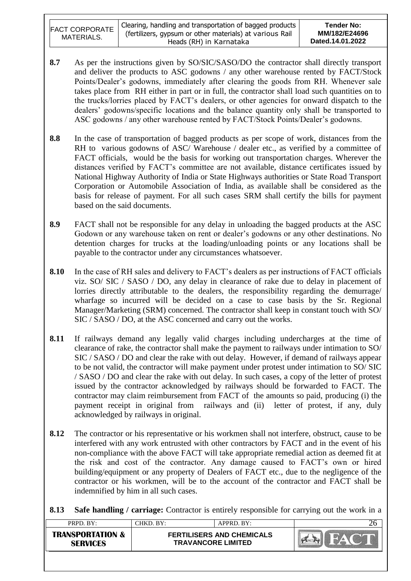| <b>FACT CORPORATE</b><br>MATERIALS. | Clearing, handling and transportation of bagged products<br>(fertilizers, gypsum or other materials) at various Rail<br>Heads (RH) in Karnataka | Tender No:<br>MM/182/E24696<br>Dated.14.01.2022 |
|-------------------------------------|-------------------------------------------------------------------------------------------------------------------------------------------------|-------------------------------------------------|
|-------------------------------------|-------------------------------------------------------------------------------------------------------------------------------------------------|-------------------------------------------------|

- **8.7** As per the instructions given by SO/SIC/SASO/DO the contractor shall directly transport and deliver the products to ASC godowns / any other warehouse rented by FACT/Stock Points/Dealer's godowns, immediately after clearing the goods from RH. Whenever sale takes place from RH either in part or in full, the contractor shall load such quantities on to the trucks/lorries placed by FACT"s dealers, or other agencies for onward dispatch to the dealers" godowns/specific locations and the balance quantity only shall be transported to ASC godowns / any other warehouse rented by FACT/Stock Points/Dealer's godowns.
- **8.8** In the case of transportation of bagged products as per scope of work, distances from the RH to various godowns of ASC/ Warehouse / dealer etc., as verified by a committee of FACT officials, would be the basis for working out transportation charges. Wherever the distances verified by FACT"s committee are not available, distance certificates issued by National Highway Authority of India or State Highways authorities or State Road Transport Corporation or Automobile Association of India, as available shall be considered as the basis for release of payment. For all such cases SRM shall certify the bills for payment based on the said documents.
- **8.9** FACT shall not be responsible for any delay in unloading the bagged products at the ASC Godown or any warehouse taken on rent or dealer"s godowns or any other destinations. No detention charges for trucks at the loading/unloading points or any locations shall be payable to the contractor under any circumstances whatsoever.
- 8.10 In the case of RH sales and delivery to FACT's dealers as per instructions of FACT officials viz. SO/ SIC / SASO / DO, any delay in clearance of rake due to delay in placement of lorries directly attributable to the dealers, the responsibility regarding the demurrage/ wharfage so incurred will be decided on a case to case basis by the Sr. Regional Manager/Marketing (SRM) concerned. The contractor shall keep in constant touch with SO/ SIC / SASO / DO, at the ASC concerned and carry out the works.
- **8.11** If railways demand any legally valid charges including undercharges at the time of clearance of rake, the contractor shall make the payment to railways under intimation to SO/ SIC / SASO / DO and clear the rake with out delay. However, if demand of railways appear to be not valid, the contractor will make payment under protest under intimation to SO/ SIC / SASO / DO and clear the rake with out delay. In such cases, a copy of the letter of protest issued by the contractor acknowledged by railways should be forwarded to FACT. The contractor may claim reimbursement from FACT of the amounts so paid, producing (i) the payment receipt in original from railways and (ii) letter of protest, if any, duly acknowledged by railways in original.
- **8.12** The contractor or his representative or his workmen shall not interfere, obstruct, cause to be interfered with any work entrusted with other contractors by FACT and in the event of his non-compliance with the above FACT will take appropriate remedial action as deemed fit at the risk and cost of the contractor. Any damage caused to FACT"s own or hired building/equipment or any property of Dealers of FACT etc., due to the negligence of the contractor or his workmen, will be to the account of the contractor and FACT shall be indemnified by him in all such cases.

**8.13 Safe handling / carriage:** Contractor is entirely responsible for carrying out the work in a

| PRPD. BY:                                      | CHKD. BY:                                                     | APPRD. BY: |  |
|------------------------------------------------|---------------------------------------------------------------|------------|--|
| <b>TRANSPORTATION &amp;</b><br><b>SERVICES</b> | <b>FERTILISERS AND CHEMICALS</b><br><b>TRAVANCORE LIMITED</b> |            |  |
|                                                |                                                               |            |  |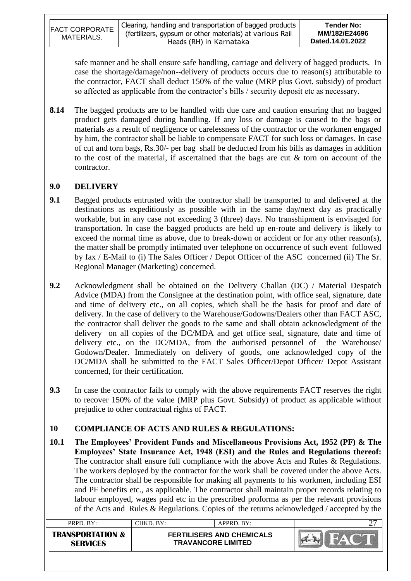|                       | Clearing, handling and transportation of bagged products | <b>Tender No:</b> |
|-----------------------|----------------------------------------------------------|-------------------|
| <b>FACT CORPORATE</b> | (fertilizers, gypsum or other materials) at various Rail | MM/182/E24696     |
| MATERIALS.            | Heads (RH) in Karnataka                                  | Dated.14.01.2022  |

safe manner and he shall ensure safe handling, carriage and delivery of bagged products. In case the shortage/damage/non--delivery of products occurs due to reason(s) attributable to the contractor, FACT shall deduct 150% of the value (MRP plus Govt. subsidy) of product so affected as applicable from the contractor's bills / security deposit etc as necessary.

**8.14** The bagged products are to be handled with due care and caution ensuring that no bagged product gets damaged during handling. If any loss or damage is caused to the bags or materials as a result of negligence or carelessness of the contractor or the workmen engaged by him, the contractor shall be liable to compensate FACT for such loss or damages. In case of cut and torn bags, Rs.30/- per bag shall be deducted from his bills as damages in addition to the cost of the material, if ascertained that the bags are cut  $\&$  torn on account of the contractor.

## **9.0 DELIVERY**

- **9.1** Bagged products entrusted with the contractor shall be transported to and delivered at the destinations as expeditiously as possible with in the same day/next day as practically workable, but in any case not exceeding 3 (three) days. No transshipment is envisaged for transportation. In case the bagged products are held up en-route and delivery is likely to exceed the normal time as above, due to break-down or accident or for any other reason(s), the matter shall be promptly intimated over telephone on occurrence of such event followed by fax / E-Mail to (i) The Sales Officer / Depot Officer of the ASC concerned (ii) The Sr. Regional Manager (Marketing) concerned.
- **9.2** Acknowledgment shall be obtained on the Delivery Challan (DC) / Material Despatch Advice (MDA) from the Consignee at the destination point, with office seal, signature, date and time of delivery etc., on all copies, which shall be the basis for proof and date of delivery. In the case of delivery to the Warehouse/Godowns/Dealers other than FACT ASC, the contractor shall deliver the goods to the same and shall obtain acknowledgment of the delivery on all copies of the DC/MDA and get office seal, signature, date and time of delivery etc., on the DC/MDA, from the authorised personnel of the Warehouse/ Godown/Dealer. Immediately on delivery of goods, one acknowledged copy of the DC/MDA shall be submitted to the FACT Sales Officer/Depot Officer/ Depot Assistant concerned, for their certification.
- **9.3** In case the contractor fails to comply with the above requirements FACT reserves the right to recover 150% of the value (MRP plus Govt. Subsidy) of product as applicable without prejudice to other contractual rights of FACT.

## **10 COMPLIANCE OF ACTS AND RULES & REGULATIONS:**

**10.1 The Employees' Provident Funds and Miscellaneous Provisions Act, 1952 (PF) & The Employees' State Insurance Act, 1948 (ESI) and the Rules and Regulations thereof:** The contractor shall ensure full compliance with the above Acts and Rules & Regulations. The workers deployed by the contractor for the work shall be covered under the above Acts. The contractor shall be responsible for making all payments to his workmen, including ESI and PF benefits etc., as applicable. The contractor shall maintain proper records relating to labour employed, wages paid etc in the prescribed proforma as per the relevant provisions of the Acts and Rules & Regulations. Copies of the returns acknowledged / accepted by the

|                                                                                                                 | ∼ |
|-----------------------------------------------------------------------------------------------------------------|---|
| <b>TRANSPORTATION &amp;</b><br><b>FERTILISERS AND CHEMICALS</b><br><b>TRAVANCORE LIMITED</b><br><b>SERVICES</b> |   |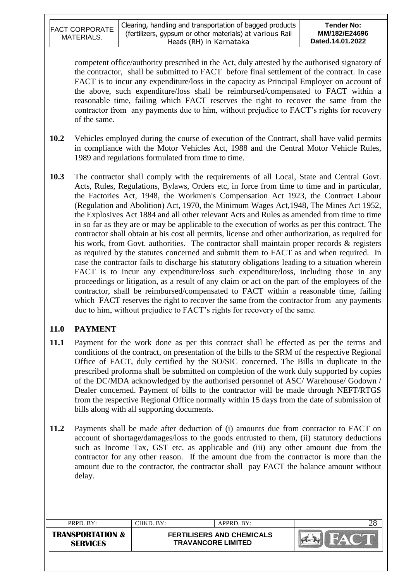| <b>FACT CORPORATE</b><br>MATERIALS. | Clearing, handling and transportation of bagged products<br>(fertilizers, gypsum or other materials) at various Rail<br>Heads (RH) in Karnataka | Tender No:<br>MM/182/E24696<br>Dated.14.01.2022 |
|-------------------------------------|-------------------------------------------------------------------------------------------------------------------------------------------------|-------------------------------------------------|
|-------------------------------------|-------------------------------------------------------------------------------------------------------------------------------------------------|-------------------------------------------------|

competent office/authority prescribed in the Act, duly attested by the authorised signatory of the contractor, shall be submitted to FACT before final settlement of the contract. In case FACT is to incur any expenditure/loss in the capacity as Principal Employer on account of the above, such expenditure/loss shall be reimbursed/compensated to FACT within a reasonable time, failing which FACT reserves the right to recover the same from the contractor from any payments due to him, without prejudice to FACT"s rights for recovery of the same.

- **10.2** Vehicles employed during the course of execution of the Contract, shall have valid permits in compliance with the Motor Vehicles Act, 1988 and the Central Motor Vehicle Rules, 1989 and regulations formulated from time to time.
- **10.3** The contractor shall comply with the requirements of all Local, State and Central Govt. Acts, Rules, Regulations, Bylaws, Orders etc, in force from time to time and in particular, the Factories Act, 1948, the Workmen's Compensation Act 1923, the Contract Labour (Regulation and Abolition) Act, 1970, the Minimum Wages Act,1948, The Mines Act 1952, the Explosives Act 1884 and all other relevant Acts and Rules as amended from time to time in so far as they are or may be applicable to the execution of works as per this contract. The contractor shall obtain at his cost all permits, license and other authorization, as required for his work, from Govt. authorities. The contractor shall maintain proper records & registers as required by the statutes concerned and submit them to FACT as and when required. In case the contractor fails to discharge his statutory obligations leading to a situation wherein FACT is to incur any expenditure/loss such expenditure/loss, including those in any proceedings or litigation, as a result of any claim or act on the part of the employees of the contractor, shall be reimbursed/compensated to FACT within a reasonable time, failing which FACT reserves the right to recover the same from the contractor from any payments due to him, without prejudice to FACT"s rights for recovery of the same.

## **11.0 PAYMENT**

- **11.1** Payment for the work done as per this contract shall be effected as per the terms and conditions of the contract, on presentation of the bills to the SRM of the respective Regional Office of FACT, duly certified by the SO/SIC concerned. The Bills in duplicate in the prescribed proforma shall be submitted on completion of the work duly supported by copies of the DC/MDA acknowledged by the authorised personnel of ASC/ Warehouse/ Godown / Dealer concerned. Payment of bills to the contractor will be made through NEFT/RTGS from the respective Regional Office normally within 15 days from the date of submission of bills along with all supporting documents.
- **11.2** Payments shall be made after deduction of (i) amounts due from contractor to FACT on account of shortage/damages/loss to the goods entrusted to them, (ii) statutory deductions such as Income Tax, GST etc. as applicable and (iii) any other amount due from the contractor for any other reason. If the amount due from the contractor is more than the amount due to the contractor, the contractor shall pay FACT the balance amount without delay.

| PRPD. BY:                                      | CHKD. BY:                                                     | APPRD. BY: |  |
|------------------------------------------------|---------------------------------------------------------------|------------|--|
| <b>TRANSPORTATION &amp;</b><br><b>SERVICES</b> | <b>FERTILISERS AND CHEMICALS</b><br><b>TRAVANCORE LIMITED</b> |            |  |
|                                                |                                                               |            |  |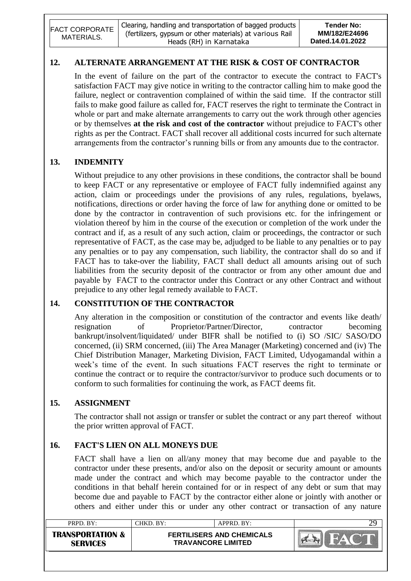| <b>FACT CORPORATE</b><br>MATERIALS. | Clearing, handling and transportation of bagged products<br>(fertilizers, gypsum or other materials) at various Rail<br>Heads (RH) in Karnataka | Tender No:<br>MM/182/E24696<br>Dated.14.01.2022 |
|-------------------------------------|-------------------------------------------------------------------------------------------------------------------------------------------------|-------------------------------------------------|
|-------------------------------------|-------------------------------------------------------------------------------------------------------------------------------------------------|-------------------------------------------------|

## **12. ALTERNATE ARRANGEMENT AT THE RISK & COST OF CONTRACTOR**

In the event of failure on the part of the contractor to execute the contract to FACT's satisfaction FACT may give notice in writing to the contractor calling him to make good the failure, neglect or contravention complained of within the said time. If the contractor still fails to make good failure as called for, FACT reserves the right to terminate the Contract in whole or part and make alternate arrangements to carry out the work through other agencies or by themselves **at the risk and cost of the contractor** without prejudice to FACT's other rights as per the Contract. FACT shall recover all additional costs incurred for such alternate arrangements from the contractor's running bills or from any amounts due to the contractor.

## **13. INDEMNITY**

Without prejudice to any other provisions in these conditions, the contractor shall be bound to keep FACT or any representative or employee of FACT fully indemnified against any action, claim or proceedings under the provisions of any rules, regulations, byelaws, notifications, directions or order having the force of law for anything done or omitted to be done by the contractor in contravention of such provisions etc. for the infringement or violation thereof by him in the course of the execution or completion of the work under the contract and if, as a result of any such action, claim or proceedings, the contractor or such representative of FACT, as the case may be, adjudged to be liable to any penalties or to pay any penalties or to pay any compensation, such liability, the contractor shall do so and if FACT has to take-over the liability, FACT shall deduct all amounts arising out of such liabilities from the security deposit of the contractor or from any other amount due and payable by FACT to the contractor under this Contract or any other Contract and without prejudice to any other legal remedy available to FACT.

# **14. CONSTITUTION OF THE CONTRACTOR**

Any alteration in the composition or constitution of the contractor and events like death/ resignation of Proprietor/Partner/Director, contractor becoming bankrupt/insolvent/liquidated/ under BIFR shall be notified to (i) SO /SIC/ SASO/DO concerned, (ii) SRM concerned, (iii) The Area Manager (Marketing) concerned and (iv) The Chief Distribution Manager, Marketing Division, FACT Limited, Udyogamandal within a week's time of the event. In such situations FACT reserves the right to terminate or continue the contract or to require the contractor/survivor to produce such documents or to conform to such formalities for continuing the work, as FACT deems fit.

## **15. ASSIGNMENT**

The contractor shall not assign or transfer or sublet the contract or any part thereof without the prior written approval of FACT.

## **16. FACT'S LIEN ON ALL MONEYS DUE**

FACT shall have a lien on all/any money that may become due and payable to the contractor under these presents, and/or also on the deposit or security amount or amounts made under the contract and which may become payable to the contractor under the conditions in that behalf herein contained for or in respect of any debt or sum that may become due and payable to FACT by the contractor either alone or jointly with another or others and either under this or under any other contract or transaction of any nature

| PRPD. BY:                                      | CHKD. BY: | $APPRD$ . BY:                                                 | 29 |
|------------------------------------------------|-----------|---------------------------------------------------------------|----|
| <b>TRANSPORTATION &amp;</b><br><b>SERVICES</b> |           | <b>FERTILISERS AND CHEMICALS</b><br><b>TRAVANCORE LIMITED</b> |    |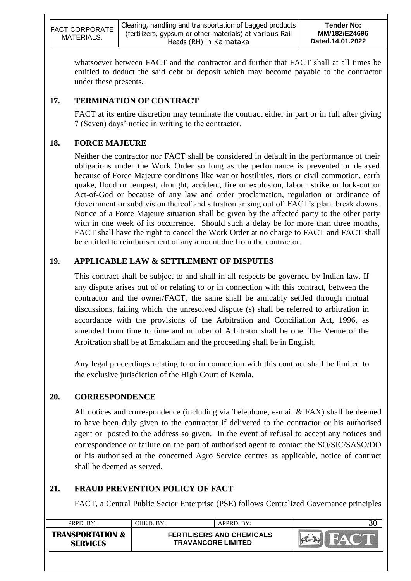| <b>FACT CORPORATE</b><br>MATERIALS. | Clearing, handling and transportation of bagged products<br>(fertilizers, gypsum or other materials) at various Rail<br>Heads (RH) in Karnataka | <b>Tender No:</b><br>MM/182/E24696<br>Dated.14.01.2022 |
|-------------------------------------|-------------------------------------------------------------------------------------------------------------------------------------------------|--------------------------------------------------------|
|-------------------------------------|-------------------------------------------------------------------------------------------------------------------------------------------------|--------------------------------------------------------|

whatsoever between FACT and the contractor and further that FACT shall at all times be entitled to deduct the said debt or deposit which may become payable to the contractor under these presents.

# **17. TERMINATION OF CONTRACT**

FACT at its entire discretion may terminate the contract either in part or in full after giving 7 (Seven) days" notice in writing to the contractor.

## **18. FORCE MAJEURE**

Neither the contractor nor FACT shall be considered in default in the performance of their obligations under the Work Order so long as the performance is prevented or delayed because of Force Majeure conditions like war or hostilities, riots or civil commotion, earth quake, flood or tempest, drought, accident, fire or explosion, labour strike or lock-out or Act-of-God or because of any law and order proclamation, regulation or ordinance of Government or subdivision thereof and situation arising out of FACT's plant break downs. Notice of a Force Majeure situation shall be given by the affected party to the other party with in one week of its occurrence. Should such a delay be for more than three months, FACT shall have the right to cancel the Work Order at no charge to FACT and FACT shall be entitled to reimbursement of any amount due from the contractor.

# **19. APPLICABLE LAW & SETTLEMENT OF DISPUTES**

This contract shall be subject to and shall in all respects be governed by Indian law. If any dispute arises out of or relating to or in connection with this contract, between the contractor and the owner/FACT, the same shall be amicably settled through mutual discussions, failing which, the unresolved dispute (s) shall be referred to arbitration in accordance with the provisions of the Arbitration and Conciliation Act, 1996, as amended from time to time and number of Arbitrator shall be one. The Venue of the Arbitration shall be at Ernakulam and the proceeding shall be in English.

Any legal proceedings relating to or in connection with this contract shall be limited to the exclusive jurisdiction of the High Court of Kerala.

## **20. CORRESPONDENCE**

All notices and correspondence (including via Telephone, e-mail & FAX) shall be deemed to have been duly given to the contractor if delivered to the contractor or his authorised agent or posted to the address so given. In the event of refusal to accept any notices and correspondence or failure on the part of authorised agent to contact the SO/SIC/SASO/DO or his authorised at the concerned Agro Service centres as applicable, notice of contract shall be deemed as served.

# **21. FRAUD PREVENTION POLICY OF FACT**

FACT, a Central Public Sector Enterprise (PSE) follows Centralized Governance principles

| PRPD. BY:                                      | CHKD. BY:                 | $APPRD$ . BY:                    |  |
|------------------------------------------------|---------------------------|----------------------------------|--|
| <b>TRANSPORTATION &amp;</b><br><b>SFRVICFS</b> | <b>TRAVANCORE LIMITED</b> | <b>FERTILISERS AND CHEMICALS</b> |  |
|                                                |                           |                                  |  |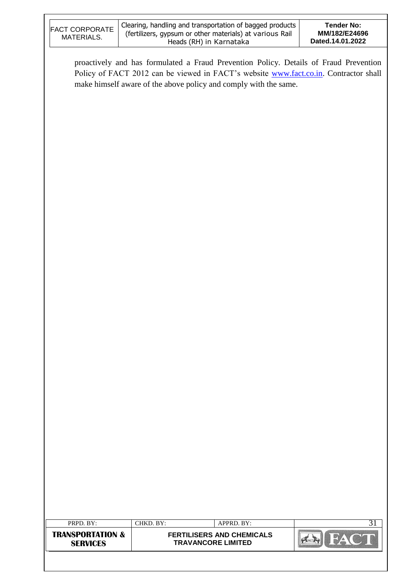| <b>FACT CORPORATE</b><br>MATERIALS.                         |           | Clearing, handling and transportation of bagged products<br>(fertilizers, gypsum or other materials) at various Rail<br>Heads (RH) in Karnataka                                                                                                   | <b>Tender No:</b><br>MM/182/E24696<br>Dated.14.01.2022 |
|-------------------------------------------------------------|-----------|---------------------------------------------------------------------------------------------------------------------------------------------------------------------------------------------------------------------------------------------------|--------------------------------------------------------|
|                                                             |           | proactively and has formulated a Fraud Prevention Policy. Details of Fraud Prevention<br>Policy of FACT 2012 can be viewed in FACT's website www.fact.co.in. Contractor shall<br>make himself aware of the above policy and comply with the same. |                                                        |
|                                                             |           |                                                                                                                                                                                                                                                   |                                                        |
|                                                             |           |                                                                                                                                                                                                                                                   |                                                        |
|                                                             |           |                                                                                                                                                                                                                                                   |                                                        |
|                                                             |           |                                                                                                                                                                                                                                                   |                                                        |
|                                                             |           |                                                                                                                                                                                                                                                   |                                                        |
|                                                             |           |                                                                                                                                                                                                                                                   |                                                        |
| PRPD. BY:<br><b>TRANSPORTATION &amp;</b><br><b>SERVICES</b> | CHKD. BY: | APPRD. BY:<br><b>FERTILISERS AND CHEMICALS</b><br><b>TRAVANCORE LIMITED</b>                                                                                                                                                                       | 31<br><b>FAC</b>                                       |
|                                                             |           |                                                                                                                                                                                                                                                   |                                                        |

 $\overline{\phantom{a}}$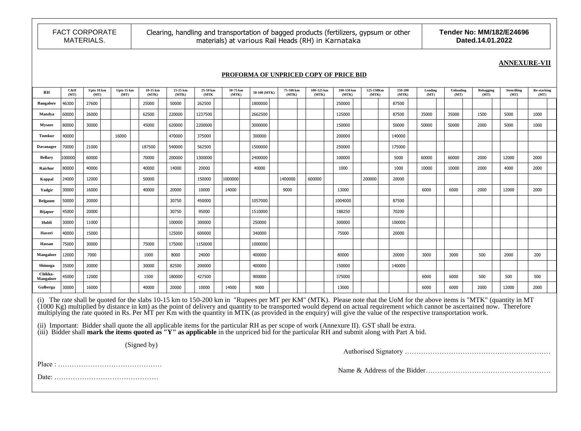FACT CORPORATE

Clearing, handling and transportation of bagged products (fertilizers, gypsum or other materials) at various Rail Heads (RH) in Karnataka

**Tender No: MM/182/E24696 Dated.14.01.2022**

#### **ANNEXURE-VII**

#### **PROFORMA OF UNPRICED COPY OF PRICE BID**

| RH                   | C&H<br>(MT) | Upto 10 km<br>(MT) | Upto 15 km<br>(MT) | 10-15 km<br>(MTK) | 15-25 km<br>(MTK) | 25-50 km<br>(MTK) | 50-75 km<br>(MTK) | 50-100 (MTK) | 75-100 km<br>(MTK) | 100-125 km<br>(MTK) | 100-150 km<br>(MTK) | 125-150Km<br>(MTK) | 150-200<br>(MTK) | Loading<br>(MT) | Unloading<br>(MT) | Rebagging<br>(MT) | <b>Stencilling</b><br>(MT) | <b>Re-stacking</b><br>(MT) |  |
|----------------------|-------------|--------------------|--------------------|-------------------|-------------------|-------------------|-------------------|--------------|--------------------|---------------------|---------------------|--------------------|------------------|-----------------|-------------------|-------------------|----------------------------|----------------------------|--|
| <b>Bangalore</b>     | 46300       | 27600              |                    | 25000             | 50000             | 262500            |                   | 1800000      |                    |                     | 250000              |                    | 87500            |                 |                   |                   |                            |                            |  |
| Mandya               | 60000       | 26000              |                    | 62500             | 220000            | 1237500           |                   | 2662500      |                    |                     | 125000              |                    | 87500            | 35000           | 35000             | 1500              | 5000                       | 1000                       |  |
| Mysore               | 80000       | 30000              |                    | 45000             | 620000            | 2200000           |                   | 3000000      |                    |                     | 150000              |                    | 50000            | 50000           | 50000             | 2000              | 5000                       | 1000                       |  |
| Tumkur               | 40000       |                    | 16000              |                   | 470000            | 375000            |                   | 300000       |                    |                     | 200000              |                    | 140000           |                 |                   |                   |                            |                            |  |
| <b>Davanagre</b>     | 70000       | 21000              |                    | 187500            | 540000            | 562500            |                   | 1500000      |                    |                     | 250000              |                    | 175000           |                 |                   |                   |                            |                            |  |
| <b>Bellary</b>       | 100000      | 60000              |                    | 70000             | 200000            | 1300000           |                   | 2400000      |                    |                     | 100000              |                    | 5000             | 60000           | 60000             | 2000              | 12000                      | 2000                       |  |
| Raichur              | 80000       | 40000              |                    | 40000             | 14000             | 20000             |                   | 40000        |                    |                     | 1000                |                    | 1000             | 10000           | 10000             | 2000              | 4000                       | 2000                       |  |
| Koppal               | 24000       | 12000              |                    | 50000             |                   | 150000            | 1000000           |              | 1400000            | 600000              |                     | 200000             | 20000            |                 |                   |                   |                            |                            |  |
| Yadgir               | 30000       | 16000              |                    | 40000             | 20000             | 10000             | 14000             |              | 9000               |                     | 13000               |                    |                  | 6000            | 6000              | 2000              | 12000                      | 2000                       |  |
| <b>Belgaum</b>       | 50000       | 20000              |                    |                   | 30750             | 450000            |                   | 1057000      |                    |                     | 1004000             |                    | 87500            |                 |                   |                   |                            |                            |  |
| <b>Bijapur</b>       | 45000       | 20000              |                    |                   | 30750             | 95000             |                   | 1510000      |                    |                     | 188250              |                    | 70200            |                 |                   |                   |                            |                            |  |
| Hubli                | 30000       | 11000              |                    |                   | 100000            | 300000            |                   | 250000       |                    |                     | 300000              |                    | 100000           |                 |                   |                   |                            |                            |  |
| Haveri               | 40000       | 15000              |                    |                   | 125000            | 600000            |                   | 340000       |                    |                     | 75000               |                    | 20000            |                 |                   |                   |                            |                            |  |
| Hassan               | 75000       | 30000              |                    | 75000             | 175000            | 1150000           |                   | 1000000      |                    |                     |                     |                    |                  |                 |                   |                   |                            |                            |  |
| <b>Mangalore</b>     | 12000       | 7000               |                    | 1000              | 8000              | 24000             |                   | 400000       |                    |                     | 80000               |                    | 20000            | 3000            | 3000              | 500               | 2000                       | 200                        |  |
| Shimoga              | 35000       | 20000              |                    | 30000             | 82500             | 200000            |                   | 400000       |                    |                     | 150000              |                    | 140000           |                 |                   |                   |                            |                            |  |
| Chikka-<br>Mangalore | 45000       | 12000              |                    | 1500              | 180000            | 427500            |                   | 900000       |                    |                     | 375000              |                    |                  | 6000            | 6000              | 500               | 500                        | 500                        |  |
| Gulberga             | 30000       | 16000              |                    | 40000             | 20000             | 10000             | 14000             | 9000         |                    |                     | 13000               |                    |                  | 6000            | 6000              | 2000              | 12000                      | 2000                       |  |

(i) The rate shall be quoted for the slabs 10-15 km to 150-200 km in "Rupees per MT per KM" (MTK). Please note that the UoM for the above items is "MTK" (quantity in MT  $(1000 \text{ Kg})$  multiplied by distance in km) as the point of delivery and quantity to be transported would depend on actual requirement which cannot be ascertained now. Therefore multiplying the rate quoted in Rs. Per MT per Km with the quantity in MTK (as provided in the enquiry) will give the value of the respective transportation work.

(ii) Important: Bidder shall quote the all applicable items for the particular RH as per scope of work (Annexure II). GST shall be extra. (iii) Bidder shall **mark the items quoted as "Y" as applicable** in the unpriced bid for the particular RH and submit along with Part A bid.

(Signed by)

Place : ………………………………………

Name & Address of the Bidder………………………………………………

Authorised Signatory ………………………………………………………

Date: ………………………………………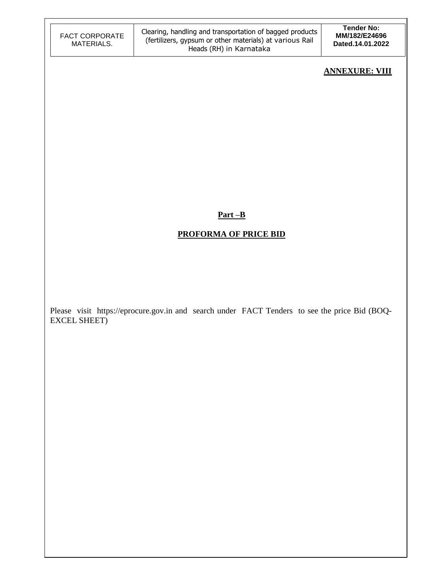| <b>FACT CORPORATE</b> |
|-----------------------|
| MATERIALS.            |

#### **ANNEXURE: VIII**

**Part –B**

## **PROFORMA OF PRICE BID**

Please visit https://eprocure.gov.in and search under FACT Tenders to see the price Bid (BOQ-EXCEL SHEET)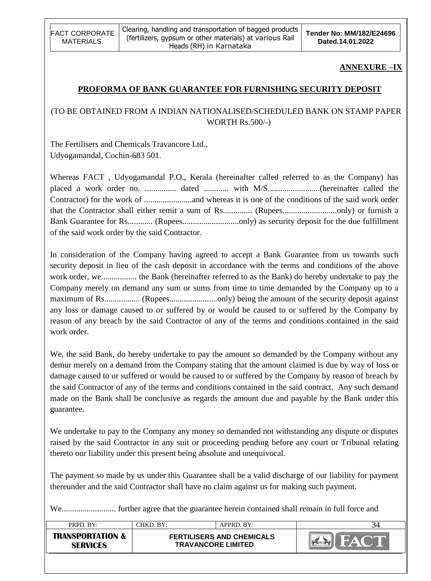

#### **ANNEXURE –IX**

#### **PROFORMA OF BANK GUARANTEE FOR FURNISHING SECURITY DEPOSIT**

# (TO BE OBTAINED FROM A INDIAN NATIONALISED/SCHEDULED BANK ON STAMP PAPER WORTH Rs.500/-)

The Fertilisers and Chemicals Travancore Ltd., Udyogamandal, Cochin-683 501.

Whereas FACT , Udyogamandal P.O., Kerala (hereinafter called referred to as the Company) has placed a work order no. ............... dated ............ with M/S.........................(hereinafter called the Contractor) for the work of .......................and whereas it is one of the conditions of the said work order that the Contractor shall either remit a sum of Rs.............. (Rupees..........................only) or furnish a Bank Guarantee for Rs............ (Rupees...........................only) as security deposit for the due fulfillment of the said work order by the said Contractor.

In consideration of the Company having agreed to accept a Bank Guarantee from us towards such security deposit in lieu of the cash deposit in accordance with the terms and conditions of the above work order, we................. the Bank (hereinafter referred to as the Bank) do hereby undertake to pay the Company merely on demand any sum or sums from time to time demanded by the Company up to a maximum of Rs................. (Rupees.......................only) being the amount of the security deposit against any loss or damage caused to or suffered by or would be caused to or suffered by the Company by reason of any breach by the said Contractor of any of the terms and conditions contained in the said work order.

We, the said Bank, do hereby undertake to pay the amount so demanded by the Company without any demur merely on a demand from the Company stating that the amount claimed is due by way of loss or damage caused to or suffered or would be caused to or suffered by the Company by reason of breach by the said Contractor of any of the terms and conditions contained in the said contract. Any such demand made on the Bank shall be conclusive as regards the amount due and payable by the Bank under this guarantee.

We undertake to pay to the Company any money so demanded not withstanding any dispute or disputes raised by the said Contractor in any suit or proceeding pending before any court or Tribunal relating thereto our liability under this present being absolute and unequivocal.

The payment so made by us under this Guarantee shall be a valid discharge of our liability for payment thereunder and the said Contractor shall have no claim against us for making such payment.

We.......................... further agree that the guarantee herein contained shall remain in full force and

| PRPD. BY:                                      | CHKD. BY:                 | APPRD. BY:                       |  |
|------------------------------------------------|---------------------------|----------------------------------|--|
| <b>TRANSPORTATION &amp;</b><br><b>SERVICES</b> | <b>TRAVANCORE LIMITED</b> | <b>FERTILISERS AND CHEMICALS</b> |  |
|                                                |                           |                                  |  |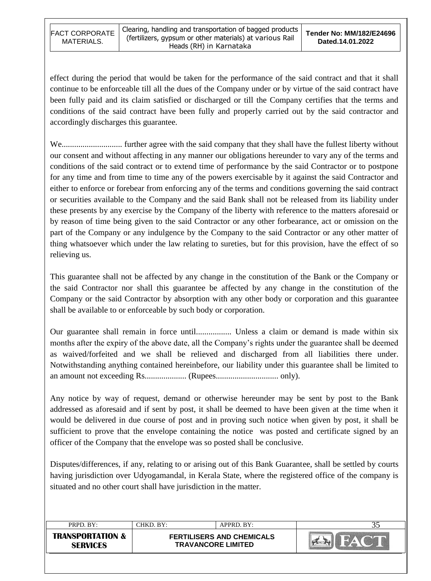effect during the period that would be taken for the performance of the said contract and that it shall continue to be enforceable till all the dues of the Company under or by virtue of the said contract have been fully paid and its claim satisfied or discharged or till the Company certifies that the terms and conditions of the said contract have been fully and properly carried out by the said contractor and accordingly discharges this guarantee.

We............................. further agree with the said company that they shall have the fullest liberty without our consent and without affecting in any manner our obligations hereunder to vary any of the terms and conditions of the said contract or to extend time of performance by the said Contractor or to postpone for any time and from time to time any of the powers exercisable by it against the said Contractor and either to enforce or forebear from enforcing any of the terms and conditions governing the said contract or securities available to the Company and the said Bank shall not be released from its liability under these presents by any exercise by the Company of the liberty with reference to the matters aforesaid or by reason of time being given to the said Contractor or any other forbearance, act or omission on the part of the Company or any indulgence by the Company to the said Contractor or any other matter of thing whatsoever which under the law relating to sureties, but for this provision, have the effect of so relieving us.

This guarantee shall not be affected by any change in the constitution of the Bank or the Company or the said Contractor nor shall this guarantee be affected by any change in the constitution of the Company or the said Contractor by absorption with any other body or corporation and this guarantee shall be available to or enforceable by such body or corporation.

Our guarantee shall remain in force until................. Unless a claim or demand is made within six months after the expiry of the above date, all the Company"s rights under the guarantee shall be deemed as waived/forfeited and we shall be relieved and discharged from all liabilities there under. Notwithstanding anything contained hereinbefore, our liability under this guarantee shall be limited to an amount not exceeding Rs.................... (Rupees.............................. only).

Any notice by way of request, demand or otherwise hereunder may be sent by post to the Bank addressed as aforesaid and if sent by post, it shall be deemed to have been given at the time when it would be delivered in due course of post and in proving such notice when given by post, it shall be sufficient to prove that the envelope containing the notice was posted and certificate signed by an officer of the Company that the envelope was so posted shall be conclusive.

Disputes/differences, if any, relating to or arising out of this Bank Guarantee, shall be settled by courts having jurisdiction over Udyogamandal, in Kerala State, where the registered office of the company is situated and no other court shall have jurisdiction in the matter.

| PRPD. BY:                                      | CHKD. BY:                 | $APPRD$ . BY:                    |  |
|------------------------------------------------|---------------------------|----------------------------------|--|
| <b>TRANSPORTATION &amp;</b><br><b>SERVICES</b> | <b>TRAVANCORE LIMITED</b> | <b>FERTILISERS AND CHEMICALS</b> |  |
|                                                |                           |                                  |  |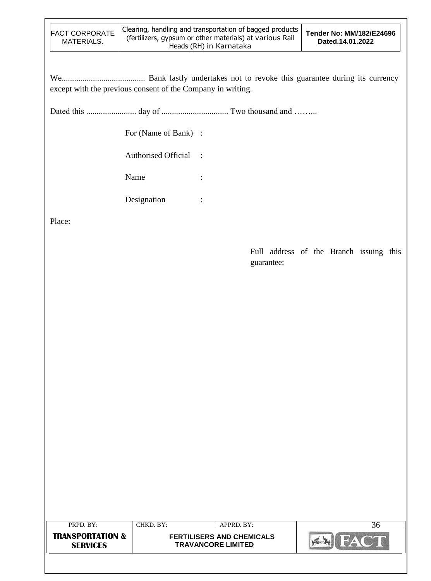| <b>FACT CORPORATE</b><br>MATERIALS. | Clearing, handling and transportation of bagged products  <br>(fertilizers, gypsum or other materials) at various Rail<br>Heads (RH) in Karnataka | <b>Tender No: MM/182/E24696</b><br>Dated.14.01.2022 |
|-------------------------------------|---------------------------------------------------------------------------------------------------------------------------------------------------|-----------------------------------------------------|
|-------------------------------------|---------------------------------------------------------------------------------------------------------------------------------------------------|-----------------------------------------------------|

We........................................ Bank lastly undertakes not to revoke this guarantee during its currency except with the previous consent of the Company in writing.

Dated this ........................ day of ................................ Two thousand and ……...

For (Name of Bank) :

Authorised Official :

Name :

Designation :

Place:

Full address of the Branch issuing this guarantee:

| PRPD. BY:                                      | CHKD. BY:                                                     | APPRD. BY: | 30 |
|------------------------------------------------|---------------------------------------------------------------|------------|----|
| <b>TRANSPORTATION &amp;</b><br><b>SERVICES</b> | <b>FERTILISERS AND CHEMICALS</b><br><b>TRAVANCORE LIMITED</b> |            |    |
|                                                |                                                               |            |    |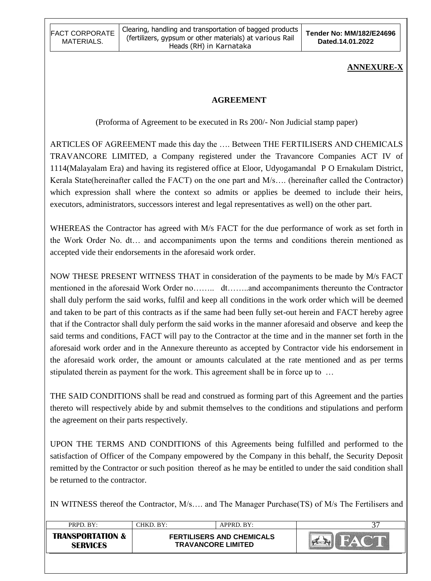# **ANNEXURE-X**

# **AGREEMENT**

(Proforma of Agreement to be executed in Rs 200/- Non Judicial stamp paper)

ARTICLES OF AGREEMENT made this day the …. Between THE FERTILISERS AND CHEMICALS TRAVANCORE LIMITED, a Company registered under the Travancore Companies ACT IV of 1114(Malayalam Era) and having its registered office at Eloor, Udyogamandal P O Ernakulam District, Kerala State(hereinafter called the FACT) on the one part and M/s…. (hereinafter called the Contractor) which expression shall where the context so admits or applies be deemed to include their heirs, executors, administrators, successors interest and legal representatives as well) on the other part.

WHEREAS the Contractor has agreed with M/s FACT for the due performance of work as set forth in the Work Order No. dt… and accompaniments upon the terms and conditions therein mentioned as accepted vide their endorsements in the aforesaid work order.

NOW THESE PRESENT WITNESS THAT in consideration of the payments to be made by M/s FACT mentioned in the aforesaid Work Order no…….. dt……..and accompaniments thereunto the Contractor shall duly perform the said works, fulfil and keep all conditions in the work order which will be deemed and taken to be part of this contracts as if the same had been fully set-out herein and FACT hereby agree that if the Contractor shall duly perform the said works in the manner aforesaid and observe and keep the said terms and conditions, FACT will pay to the Contractor at the time and in the manner set forth in the aforesaid work order and in the Annexure thereunto as accepted by Contractor vide his endorsement in the aforesaid work order, the amount or amounts calculated at the rate mentioned and as per terms stipulated therein as payment for the work. This agreement shall be in force up to …

THE SAID CONDITIONS shall be read and construed as forming part of this Agreement and the parties thereto will respectively abide by and submit themselves to the conditions and stipulations and perform the agreement on their parts respectively.

UPON THE TERMS AND CONDITIONS of this Agreements being fulfilled and performed to the satisfaction of Officer of the Company empowered by the Company in this behalf, the Security Deposit remitted by the Contractor or such position thereof as he may be entitled to under the said condition shall be returned to the contractor.

IN WITNESS thereof the Contractor, M/s…. and The Manager Purchase(TS) of M/s The Fertilisers and

| $PRPD$ $RY$                                    | CHKD. BY:                                                     | APPRD. BY: |  |
|------------------------------------------------|---------------------------------------------------------------|------------|--|
| <b>TRANSPORTATION &amp;</b><br><b>SFRVICES</b> | <b>FERTILISERS AND CHEMICALS</b><br><b>TRAVANCORE LIMITED</b> |            |  |
|                                                |                                                               |            |  |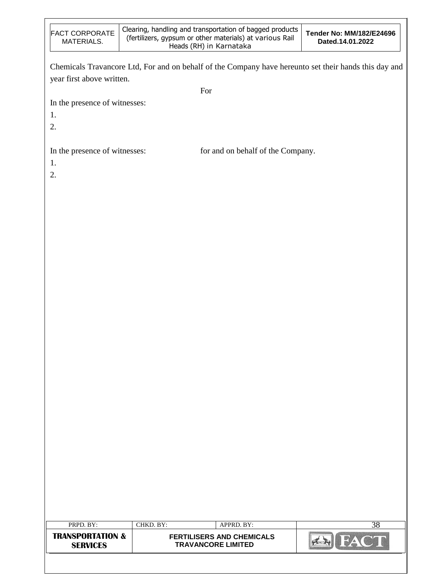| <b>FACT CORPORATE</b><br>MATERIALS. | Clearing, handling and transportation of bagged products<br>(fertilizers, gypsum or other materials) at various Rail<br>Heads (RH) in Karnataka | Tender No: MM/182/E24696<br>Dated.14.01.2022 |
|-------------------------------------|-------------------------------------------------------------------------------------------------------------------------------------------------|----------------------------------------------|
|                                     | Chemicals Travancore Ltd, For and on behalf of the Company have hereunto set their hands this day and                                           |                                              |
| year first above written.           |                                                                                                                                                 |                                              |
|                                     | For                                                                                                                                             |                                              |
| In the presence of witnesses:       |                                                                                                                                                 |                                              |
| 1.                                  |                                                                                                                                                 |                                              |
| 2.                                  |                                                                                                                                                 |                                              |
| In the presence of witnesses:       | for and on behalf of the Company.                                                                                                               |                                              |
| 1.                                  |                                                                                                                                                 |                                              |
| 2.                                  |                                                                                                                                                 |                                              |
|                                     |                                                                                                                                                 |                                              |
|                                     |                                                                                                                                                 |                                              |
|                                     |                                                                                                                                                 |                                              |
|                                     |                                                                                                                                                 |                                              |
|                                     |                                                                                                                                                 |                                              |
|                                     |                                                                                                                                                 |                                              |
|                                     |                                                                                                                                                 |                                              |
|                                     |                                                                                                                                                 |                                              |
|                                     |                                                                                                                                                 |                                              |
|                                     |                                                                                                                                                 |                                              |
|                                     |                                                                                                                                                 |                                              |
|                                     |                                                                                                                                                 |                                              |
|                                     |                                                                                                                                                 |                                              |
|                                     |                                                                                                                                                 |                                              |
|                                     |                                                                                                                                                 |                                              |
|                                     |                                                                                                                                                 |                                              |
|                                     |                                                                                                                                                 |                                              |
|                                     |                                                                                                                                                 |                                              |
|                                     |                                                                                                                                                 |                                              |
|                                     |                                                                                                                                                 |                                              |
|                                     |                                                                                                                                                 |                                              |
|                                     |                                                                                                                                                 |                                              |
|                                     |                                                                                                                                                 |                                              |
|                                     |                                                                                                                                                 |                                              |
|                                     |                                                                                                                                                 |                                              |

| PRPD. BY:                                      | $CHKD$ . $BY:$                                                | APPRD. BY: |  |
|------------------------------------------------|---------------------------------------------------------------|------------|--|
| <b>TRANSPORTATION &amp;</b><br><b>SERVICES</b> | <b>FERTILISERS AND CHEMICALS</b><br><b>TRAVANCORE LIMITED</b> |            |  |
|                                                |                                                               |            |  |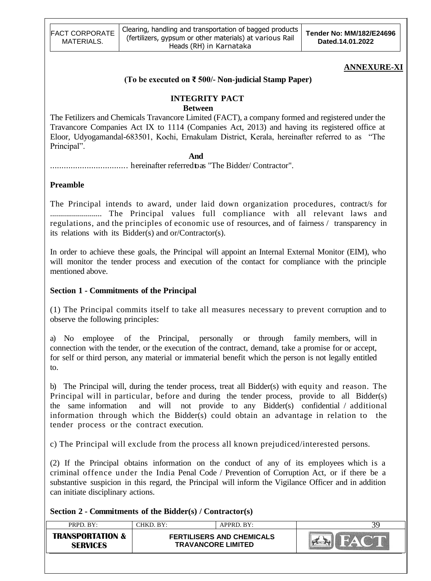#### **ANNEXURE-XI**

#### **(To be executed on ₹ 500/- Non-judicial Stamp Paper)**

## **INTEGRITY PACT**

#### **Between**

The Fetilizers and Chemicals Travancore Limited (FACT), a company formed and registered under the Travancore Companies Act IX to 1114 (Companies Act, 2013) and having its registered office at Eloor, Udyogamandal-683501, Kochi, Ernakulam District, Kerala, hereinafter referred to as "The Principal".

#### **And**

.................................. hereinafter referredtoas "The Bidder/ Contractor".

#### **Preamble**

The Principal intends to award, under laid down organization procedures, contract/s for .......................... The Principal values full compliance with all relevant laws and regulations, and the principles of economic use of resources, and of fairness / transparency in its relations with its Bidder(s) and or/Contractor(s).

In order to achieve these goals, the Principal will appoint an Internal External Monitor (EIM), who will monitor the tender process and execution of the contact for compliance with the principle mentioned above.

#### **Section 1 - Commitments of the Principal**

(1) The Principal commits itself to take all measures necessary to prevent corruption and to observe the following principles:

a) No employee of the Principal, personally or through family members, will in connection with the tender, or the execution of the contract, demand, take a promise for or accept, for self or third person, any material or immaterial benefit which the person is not legally entitled to.

b) The Principal will, during the tender process, treat all Bidder(s) with equity and reason. The Principal will in particular, before and during the tender process, provide to all Bidder(s) the same information and will not provide to any Bidder(s) confidential / additional information through which the Bidder(s) could obtain an advantage in relation to the tender process or the contract execution.

c) The Principal will exclude from the process all known prejudiced/interested persons.

(2) If the Principal obtains information on the conduct of any of its employees which is a criminal offence under the India Penal Code / Prevention of Corruption Act, or if there be a substantive suspicion in this regard, the Principal will inform the Vigilance Officer and in addition can initiate disciplinary actions.

#### **Section 2 - Commitments of the Bidder(s) / Contractor(s)**

| <b>TRANSPORTATION &amp;</b><br><b>FERTILISERS AND CHEMICALS</b> | PRPD. BY: | CHKD. BY: | $APPRD$ $BY:$ |  |
|-----------------------------------------------------------------|-----------|-----------|---------------|--|
| <b>TRAVANCORE LIMITED</b><br><b>SERVICES</b>                    |           |           |               |  |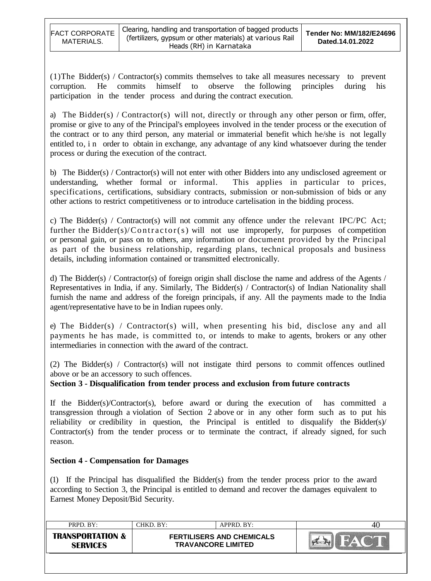(1)The Bidder(s) / Contractor(s) commits themselves to take all measures necessary to prevent corruption. He commits himself to observe the following principles during his participation in the tender process and during the contract execution.

a) The Bidder(s) / Contractor(s) will not, directly or through any other person or firm, offer, promise or give to any of the Principal's employees involved in the tender process or the execution of the contract or to any third person, any material or immaterial benefit which he/she is not legally entitled to, in order to obtain in exchange, any advantage of any kind whatsoever during the tender process or during the execution of the contract.

b) The Bidder(s) / Contractor(s) will not enter with other Bidders into any undisclosed agreement or understanding, whether formal or informal. This applies in particular to prices, specifications, certifications, subsidiary contracts, submission or non-submission of bids or any other actions to restrict competitiveness or to introduce cartelisation in the bidding process.

c) The Bidder(s) / Contractor(s) will not commit any offence under the relevant IPC/PC Act; further the Bidder(s)/Contractor(s) will not use improperly, for purposes of competition or personal gain, or pass on to others, any information or document provided by the Principal as part of the business relationship, regarding plans, technical proposals and business details, including information contained or transmitted electronically.

d) The Bidder(s) / Contractor(s) of foreign origin shall disclose the name and address of the Agents / Representatives in India, if any. Similarly, The Bidder(s) / Contractor(s) of Indian Nationality shall furnish the name and address of the foreign principals, if any. All the payments made to the India agent/representative have to be in Indian rupees only.

e) The Bidder(s) / Contractor(s) will, when presenting his bid, disclose any and all payments he has made, is committed to, or intends to make to agents, brokers or any other intermediaries in connection with the award of the contract.

(2) The Bidder(s) / Contractor(s) will not instigate third persons to commit offences outlined above or be an accessory to such offences.

**Section 3 - Disqualification from tender process and exclusion from future contracts**

If the Bidder(s)/Contractor(s), before award or during the execution of has committed a transgression through a violation of Section 2 above or in any other form such as to put his reliability or credibility in question, the Principal is entitled to disqualify the Bidder(s)/ Contractor(s) from the tender process or to terminate the contract, if already signed, for such reason.

## **Section 4 - Compensation for Damages**

(1) If the Principal has disqualified the Bidder(s) from the tender process prior to the award according to Section 3, the Principal is entitled to demand and recover the damages equivalent to Earnest Money Deposit/Bid Security.

| PRPD BY:                                       | CHKD. BY:                                                     | $APPRD$ $BY:$ | 4U |
|------------------------------------------------|---------------------------------------------------------------|---------------|----|
| <b>TRANSPORTATION &amp;</b><br><b>SERVICES</b> | <b>FERTILISERS AND CHEMICALS</b><br><b>TRAVANCORE LIMITED</b> |               |    |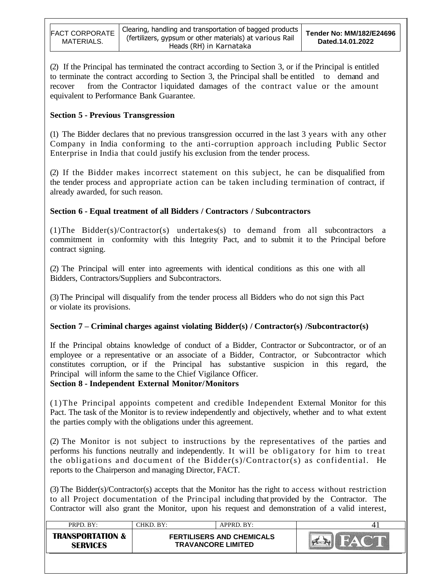(2) If the Principal has terminated the contract according to Section 3, or if the Principal is entitled to terminate the contract according to Section 3, the Principal shall be entitled to demand and recover from the Contractor liquidated damages of the contract value or the amount equivalent to Performance Bank Guarantee.

#### **Section 5 - Previous Transgression**

(1) The Bidder declares that no previous transgression occurred in the last 3 years with any other Company in India conforming to the anti-corruption approach including Public Sector Enterprise in India that could justify his exclusion from the tender process.

(2) If the Bidder makes incorrect statement on this subject, he can be disqualified from the tender process and appropriate action can be taken including termination of contract, if already awarded, for such reason.

#### **Section 6 - Equal treatment of all Bidders / Contractors / Subcontractors**

(1)The Bidder(s)/Contractor(s) undertakes(s) to demand from all subcontractors a commitment in conformity with this Integrity Pact, and to submit it to the Principal before contract signing.

(2) The Principal will enter into agreements with identical conditions as this one with all Bidders, Contractors/Suppliers and Subcontractors.

(3)The Principal will disqualify from the tender process all Bidders who do not sign this Pact or violate its provisions.

#### **Section 7 – Criminal charges against violating Bidder(s) / Contractor(s) /Subcontractor(s)**

If the Principal obtains knowledge of conduct of a Bidder, Contractor or Subcontractor, or of an employee or a representative or an associate of a Bidder, Contractor, or Subcontractor which constitutes corruption, or if the Principal has substantive suspicion in this regard, the Principal will inform the same to the Chief Vigilance Officer.

#### **Section 8 - Independent External Monitor/Monitors**

(1)The Principal appoints competent and credible Independent External Monitor for this Pact. The task of the Monitor is to review independently and objectively, whether and to what extent the parties comply with the obligations under this agreement.

(2) The Monitor is not subject to instructions by the representatives of the parties and performs his functions neutrally and independently. It will be obligatory for him to treat the obligations and document of the Bidder(s)/Contractor(s) as confidential. He reports to the Chairperson and managing Director, FACT.

(3) The Bidder(s)/Contractor(s) accepts that the Monitor has the right to access without restriction to all Project documentation of the Principal including that provided by the Contractor. The Contractor will also grant the Monitor, upon his request and demonstration of a valid interest,

| PRPD. BY:                                      | $CHKD$ . $BY:$                                                | $APPRD$ $BY:$ |  |
|------------------------------------------------|---------------------------------------------------------------|---------------|--|
| <b>TRANSPORTATION &amp;</b><br><b>SFRVICFS</b> | <b>FERTILISERS AND CHEMICALS</b><br><b>TRAVANCORE LIMITED</b> |               |  |
|                                                |                                                               |               |  |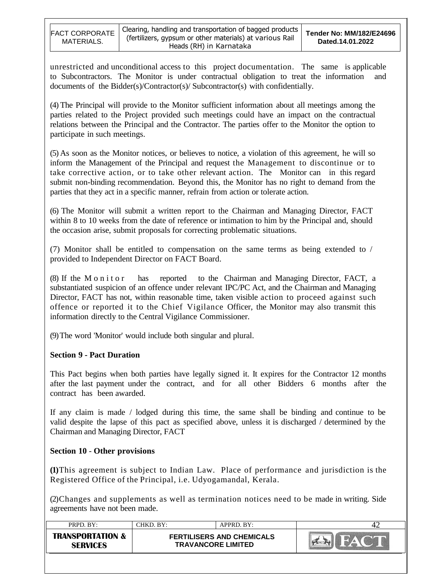unrestricted and unconditional access to this project documentation. The same is applicable to Subcontractors. The Monitor is under contractual obligation to treat the information and documents of the Bidder(s)/Contractor(s)/ Subcontractor(s) with confidentially.

(4) The Principal will provide to the Monitor sufficient information about all meetings among the parties related to the Project provided such meetings could have an impact on the contractual relations between the Principal and the Contractor. The parties offer to the Monitor the option to participate in such meetings.

(5) As soon as the Monitor notices, or believes to notice, a violation of this agreement, he will so inform the Management of the Principal and request the Management to discontinue or to take corrective action, or to take other relevant action. The Monitor can in this regard submit non-binding recommendation. Beyond this, the Monitor has no right to demand from the parties that they act in a specific manner, refrain from action or tolerate action.

(6) The Monitor will submit a written report to the Chairman and Managing Director, FACT within 8 to 10 weeks from the date of reference or intimation to him by the Principal and, should the occasion arise, submit proposals for correcting problematic situations.

(7) Monitor shall be entitled to compensation on the same terms as being extended to / provided to Independent Director on FACT Board.

(8) If the M o n i t o r has reported to the Chairman and Managing Director, FACT, a substantiated suspicion of an offence under relevant IPC/PC Act, and the Chairman and Managing Director, FACT has not, within reasonable time, taken visible action to proceed against such offence or reported it to the Chief Vigilance Officer, the Monitor may also transmit this information directly to the Central Vigilance Commissioner.

(9)The word 'Monitor' would include both singular and plural.

#### **Section 9 - Pact Duration**

This Pact begins when both parties have legally signed it. It expires for the Contractor 12 months after the last payment under the contract, and for all other Bidders 6 months after the contract has been awarded.

If any claim is made / lodged during this time, the same shall be binding and continue to be valid despite the lapse of this pact as specified above, unless it is discharged / determined by the Chairman and Managing Director, FACT

#### **Section 10** - **Other provisions**

**(1)**This agreement is subject to Indian Law. Place of performance and jurisdiction is the Registered Office of the Principal, i.e. Udyogamandal, Kerala.

(2)Changes and supplements as well as termination notices need to be made in writing. Side agreements have not been made.

| PRPD BY:                                       | CHKD. BY:                                                     | APPRD. BY: |  |
|------------------------------------------------|---------------------------------------------------------------|------------|--|
| <b>TRANSPORTATION &amp;</b><br><b>SERVICES</b> | <b>FERTILISERS AND CHEMICALS</b><br><b>TRAVANCORE LIMITED</b> |            |  |
|                                                |                                                               |            |  |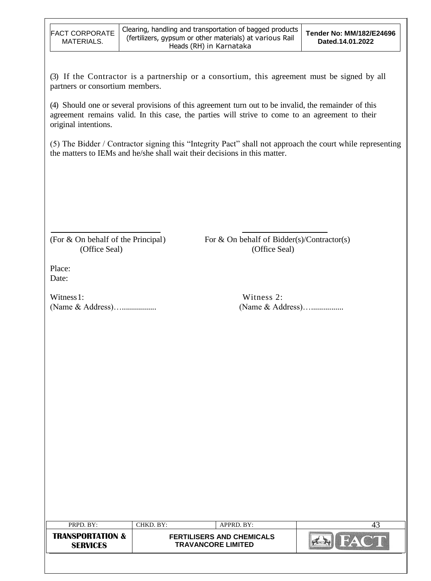(3) If the Contractor is a partnership or a consortium, this agreement must be signed by all partners or consortium members.

(4) Should one or several provisions of this agreement turn out to be invalid, the remainder of this agreement remains valid. In this case, the parties will strive to come to an agreement to their original intentions.

(5) The Bidder / Contractor signing this "Integrity Pact" shall not approach the court while representing the matters to IEMs and he/she shall wait their decisions in this matter.

(For  $&$  On behalf of the Principal) For  $&$  On behalf of Bidder(s)/Contractor(s) (Office Seal) (Office Seal)

Place: Date:

Witness 1: Witness 2: (Name & Address)…................. (Name & Address)…................

| PRPD. BY:                                      | CHKD. BY:                                                     | APPRD. BY: | 4. |
|------------------------------------------------|---------------------------------------------------------------|------------|----|
| <b>TRANSPORTATION &amp;</b><br><b>SERVICES</b> | <b>FERTILISERS AND CHEMICALS</b><br><b>TRAVANCORE LIMITED</b> |            |    |
|                                                |                                                               |            |    |